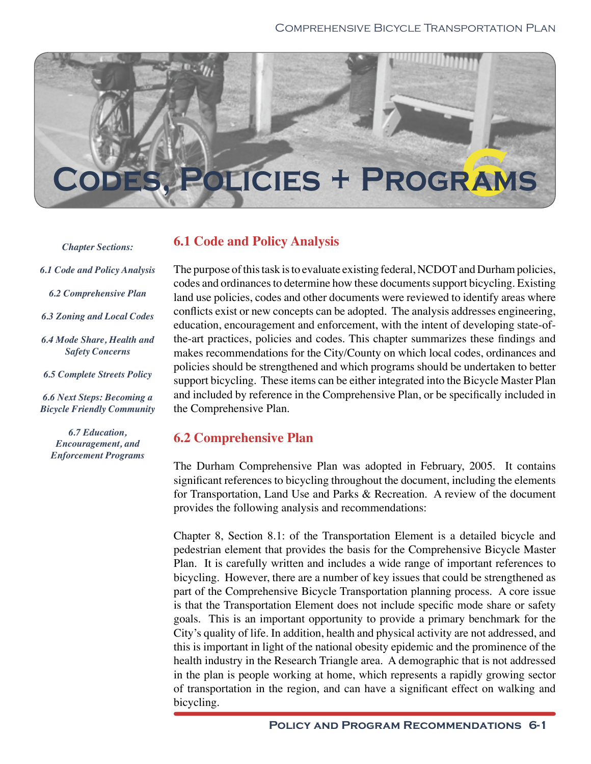

*Chapter Sections:*

- *6.1 Code and Policy Analysis* 
	- *6.2 Comprehensive Plan*
- *6.3 Zoning and Local Codes*
- *6.4 Mode Share, Health and Safety Concerns*
- *6.5 Complete Streets Policy*

*6.6 Next Steps: Becoming a Bicycle Friendly Community*

*6.7 Education, Encouragement, and Enforcement Programs* 

# **6.1 Code and Policy Analysis**

The purpose of this task is to evaluate existing federal, NCDOT and Durham policies, codes and ordinances to determine how these documents support bicycling. Existing land use policies, codes and other documents were reviewed to identify areas where conflicts exist or new concepts can be adopted. The analysis addresses engineering, education, encouragement and enforcement, with the intent of developing state-ofthe-art practices, policies and codes. This chapter summarizes these findings and makes recommendations for the City/County on which local codes, ordinances and policies should be strengthened and which programs should be undertaken to better support bicycling. These items can be either integrated into the Bicycle Master Plan and included by reference in the Comprehensive Plan, or be specifically included in the Comprehensive Plan.

# **6.2 Comprehensive Plan**

The Durham Comprehensive Plan was adopted in February, 2005. It contains significant references to bicycling throughout the document, including the elements for Transportation, Land Use and Parks & Recreation. A review of the document provides the following analysis and recommendations:

Chapter 8, Section 8.1: of the Transportation Element is a detailed bicycle and pedestrian element that provides the basis for the Comprehensive Bicycle Master Plan. It is carefully written and includes a wide range of important references to bicycling. However, there are a number of key issues that could be strengthened as part of the Comprehensive Bicycle Transportation planning process. A core issue is that the Transportation Element does not include specific mode share or safety goals. This is an important opportunity to provide a primary benchmark for the City's quality of life. In addition, health and physical activity are not addressed, and this is important in light of the national obesity epidemic and the prominence of the health industry in the Research Triangle area. A demographic that is not addressed in the plan is people working at home, which represents a rapidly growing sector of transportation in the region, and can have a significant effect on walking and bicycling.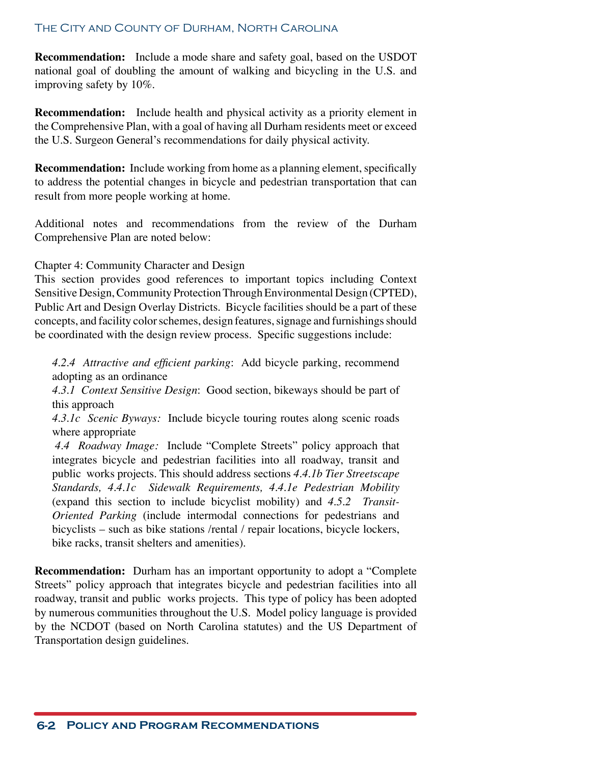**Recommendation:** Include a mode share and safety goal, based on the USDOT national goal of doubling the amount of walking and bicycling in the U.S. and improving safety by 10%.

**Recommendation:** Include health and physical activity as a priority element in the Comprehensive Plan, with a goal of having all Durham residents meet or exceed the U.S. Surgeon General's recommendations for daily physical activity.

**Recommendation:** Include working from home as a planning element, specifically to address the potential changes in bicycle and pedestrian transportation that can result from more people working at home.

Additional notes and recommendations from the review of the Durham Comprehensive Plan are noted below:

Chapter 4: Community Character and Design

This section provides good references to important topics including Context Sensitive Design, Community Protection Through Environmental Design (CPTED), Public Art and Design Overlay Districts. Bicycle facilities should be a part of these concepts, and facility color schemes, design features, signage and furnishings should be coordinated with the design review process. Specific suggestions include:

*4.2.4 Attractive and efficient parking*: Add bicycle parking, recommend adopting as an ordinance

*4.3.1 Context Sensitive Design*: Good section, bikeways should be part of this approach

*4.3.1c Scenic Byways:* Include bicycle touring routes along scenic roads where appropriate

 *4.4 Roadway Image:* Include "Complete Streets" policy approach that integrates bicycle and pedestrian facilities into all roadway, transit and public works projects. This should address sections *4.4.1b Tier Streetscape Standards, 4.4.1c Sidewalk Requirements, 4.4.1e Pedestrian Mobility* (expand this section to include bicyclist mobility) and *4.5.2 Transit-Oriented Parking* (include intermodal connections for pedestrians and bicyclists – such as bike stations /rental / repair locations, bicycle lockers, bike racks, transit shelters and amenities).

**Recommendation:** Durham has an important opportunity to adopt a "Complete Streets" policy approach that integrates bicycle and pedestrian facilities into all roadway, transit and public works projects. This type of policy has been adopted by numerous communities throughout the U.S. Model policy language is provided by the NCDOT (based on North Carolina statutes) and the US Department of Transportation design guidelines.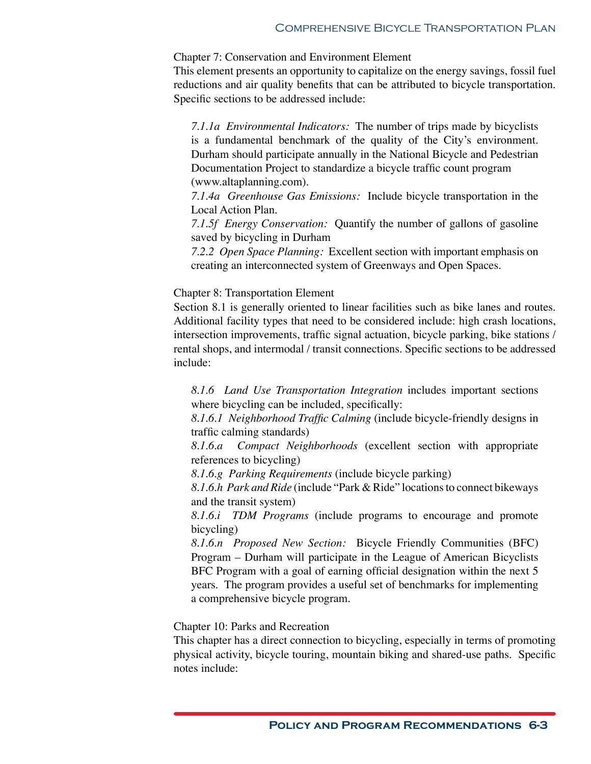### Comprehensive Bicycle Transportation Plan

#### Chapter 7: Conservation and Environment Element

This element presents an opportunity to capitalize on the energy savings, fossil fuel reductions and air quality benefits that can be attributed to bicycle transportation. Specific sections to be addressed include:

*7.1.1a Environmental Indicators:* The number of trips made by bicyclists is a fundamental benchmark of the quality of the City's environment. Durham should participate annually in the National Bicycle and Pedestrian Documentation Project to standardize a bicycle traffic count program (www.altaplanning.com).

*7.1.4a Greenhouse Gas Emissions:* Include bicycle transportation in the Local Action Plan.

*7.1.5f Energy Conservation:* Quantify the number of gallons of gasoline saved by bicycling in Durham

*7.2.2 Open Space Planning:* Excellent section with important emphasis on creating an interconnected system of Greenways and Open Spaces.

## Chapter 8: Transportation Element

Section 8.1 is generally oriented to linear facilities such as bike lanes and routes. Additional facility types that need to be considered include: high crash locations, intersection improvements, traffic signal actuation, bicycle parking, bike stations / rental shops, and intermodal / transit connections. Specific sections to be addressed include:

*8.1.6 Land Use Transportation Integration* includes important sections where bicycling can be included, specifically:

*8.1.6.1 Neighborhood Traffic Calming* (include bicycle-friendly designs in traffic calming standards)

*8.1.6.a Compact Neighborhoods* (excellent section with appropriate references to bicycling)

*8.1.6.g Parking Requirements* (include bicycle parking)

*8.1.6.h Park and Ride* (include "Park & Ride" locations to connect bikeways and the transit system)

*8.1.6.i TDM Programs* (include programs to encourage and promote bicycling)

*8.1.6.n Proposed New Section:* Bicycle Friendly Communities (BFC) Program – Durham will participate in the League of American Bicyclists BFC Program with a goal of earning official designation within the next 5 years. The program provides a useful set of benchmarks for implementing a comprehensive bicycle program.

Chapter 10: Parks and Recreation

This chapter has a direct connection to bicycling, especially in terms of promoting physical activity, bicycle touring, mountain biking and shared-use paths. Specific notes include: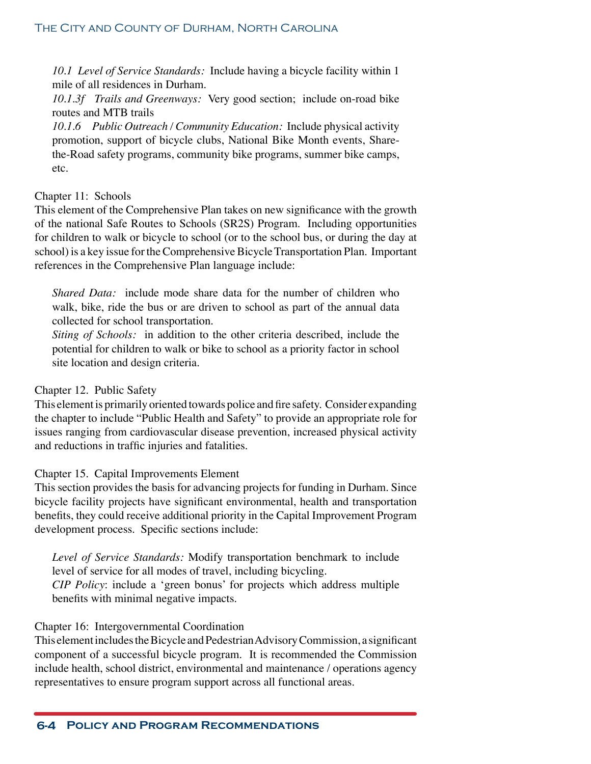*10.1 Level of Service Standards:* Include having a bicycle facility within 1 mile of all residences in Durham.

*10.1.3f Trails and Greenways:* Very good section; include on-road bike routes and MTB trails

*10.1.6 Public Outreach / Community Education:* Include physical activity promotion, support of bicycle clubs, National Bike Month events, Sharethe-Road safety programs, community bike programs, summer bike camps, etc.

# Chapter 11: Schools

This element of the Comprehensive Plan takes on new significance with the growth of the national Safe Routes to Schools (SR2S) Program. Including opportunities for children to walk or bicycle to school (or to the school bus, or during the day at school) is a key issue for the Comprehensive Bicycle Transportation Plan. Important references in the Comprehensive Plan language include:

*Shared Data:* include mode share data for the number of children who walk, bike, ride the bus or are driven to school as part of the annual data collected for school transportation.

*Siting of Schools:* in addition to the other criteria described, include the potential for children to walk or bike to school as a priority factor in school site location and design criteria.

# Chapter 12. Public Safety

This element is primarily oriented towards police and fire safety. Consider expanding the chapter to include "Public Health and Safety" to provide an appropriate role for issues ranging from cardiovascular disease prevention, increased physical activity and reductions in traffic injuries and fatalities.

# Chapter 15. Capital Improvements Element

This section provides the basis for advancing projects for funding in Durham. Since bicycle facility projects have significant environmental, health and transportation benefits, they could receive additional priority in the Capital Improvement Program development process. Specific sections include:

*Level of Service Standards:* Modify transportation benchmark to include level of service for all modes of travel, including bicycling.

*CIP Policy*: include a 'green bonus' for projects which address multiple benefits with minimal negative impacts.

# Chapter 16: Intergovernmental Coordination

This element includes the Bicycle and Pedestrian Advisory Commission, a significant component of a successful bicycle program. It is recommended the Commission include health, school district, environmental and maintenance / operations agency representatives to ensure program support across all functional areas.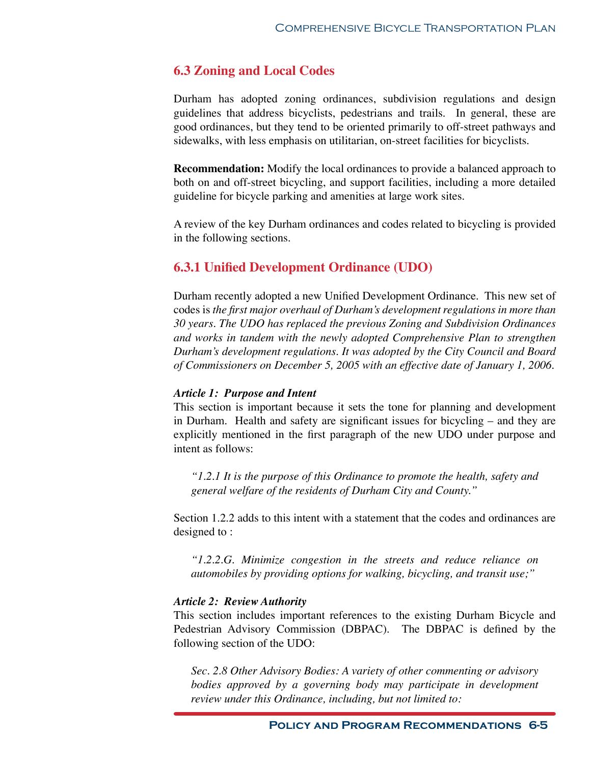# **6.3 Zoning and Local Codes**

Durham has adopted zoning ordinances, subdivision regulations and design guidelines that address bicyclists, pedestrians and trails. In general, these are good ordinances, but they tend to be oriented primarily to off-street pathways and sidewalks, with less emphasis on utilitarian, on-street facilities for bicyclists.

**Recommendation:** Modify the local ordinances to provide a balanced approach to both on and off-street bicycling, and support facilities, including a more detailed guideline for bicycle parking and amenities at large work sites.

A review of the key Durham ordinances and codes related to bicycling is provided in the following sections.

# **6.3.1 Unified Development Ordinance (UDO)**

Durham recently adopted a new Unified Development Ordinance. This new set of codes is *the first major overhaul of Durham's development regulations in more than 30 years. The UDO has replaced the previous Zoning and Subdivision Ordinances and works in tandem with the newly adopted Comprehensive Plan to strengthen Durham's development regulations. It was adopted by the City Council and Board of Commissioners on December 5, 2005 with an effective date of January 1, 2006.*

# *Article 1: Purpose and Intent*

This section is important because it sets the tone for planning and development in Durham. Health and safety are significant issues for bicycling – and they are explicitly mentioned in the first paragraph of the new UDO under purpose and intent as follows:

*"1.2.1 It is the purpose of this Ordinance to promote the health, safety and general welfare of the residents of Durham City and County."*

Section 1.2.2 adds to this intent with a statement that the codes and ordinances are designed to :

*"1.2.2.G. Minimize congestion in the streets and reduce reliance on automobiles by providing options for walking, bicycling, and transit use;"*

# *Article 2: Review Authority*

This section includes important references to the existing Durham Bicycle and Pedestrian Advisory Commission (DBPAC). The DBPAC is defined by the following section of the UDO:

*Sec. 2.8 Other Advisory Bodies: A variety of other commenting or advisory bodies approved by a governing body may participate in development review under this Ordinance, including, but not limited to:*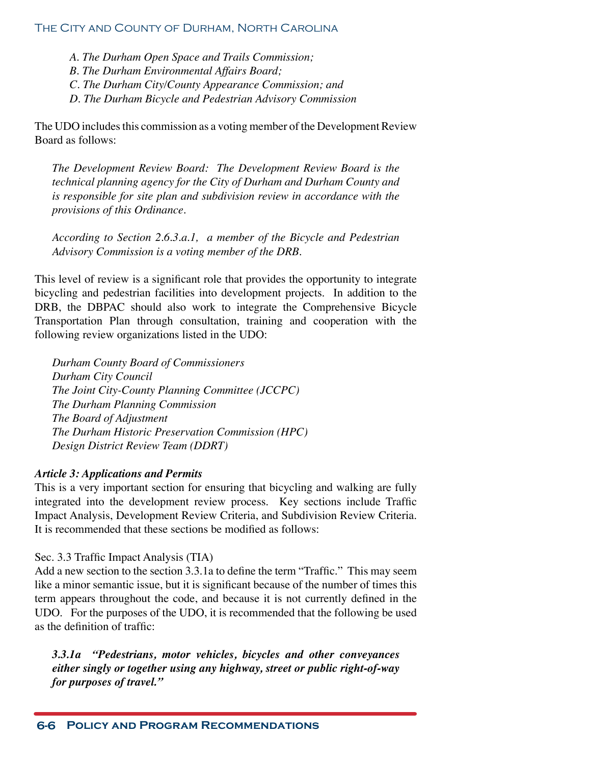*A. The Durham Open Space and Trails Commission;*

*B. The Durham Environmental Affairs Board;*

*C. The Durham City/County Appearance Commission; and*

*D. The Durham Bicycle and Pedestrian Advisory Commission*

The UDO includes this commission as a voting member of the Development Review Board as follows:

*The Development Review Board: The Development Review Board is the technical planning agency for the City of Durham and Durham County and is responsible for site plan and subdivision review in accordance with the provisions of this Ordinance.* 

*According to Section 2.6.3.a.1, a member of the Bicycle and Pedestrian Advisory Commission is a voting member of the DRB.*

This level of review is a significant role that provides the opportunity to integrate bicycling and pedestrian facilities into development projects. In addition to the DRB, the DBPAC should also work to integrate the Comprehensive Bicycle Transportation Plan through consultation, training and cooperation with the following review organizations listed in the UDO:

*Durham County Board of Commissioners Durham City Council The Joint City-County Planning Committee (JCCPC) The Durham Planning Commission The Board of Adjustment The Durham Historic Preservation Commission (HPC) Design District Review Team (DDRT)*

# *Article 3: Applications and Permits*

This is a very important section for ensuring that bicycling and walking are fully integrated into the development review process. Key sections include Traffic Impact Analysis, Development Review Criteria, and Subdivision Review Criteria. It is recommended that these sections be modified as follows:

# Sec. 3.3 Traffic Impact Analysis (TIA)

Add a new section to the section 3.3.1a to define the term "Traffic." This may seem like a minor semantic issue, but it is significant because of the number of times this term appears throughout the code, and because it is not currently defined in the UDO. For the purposes of the UDO, it is recommended that the following be used as the definition of traffic:

*3.3.1a "Pedestrians, motor vehicles, bicycles and other conveyances either singly or together using any highway, street or public right-of-way for purposes of travel."*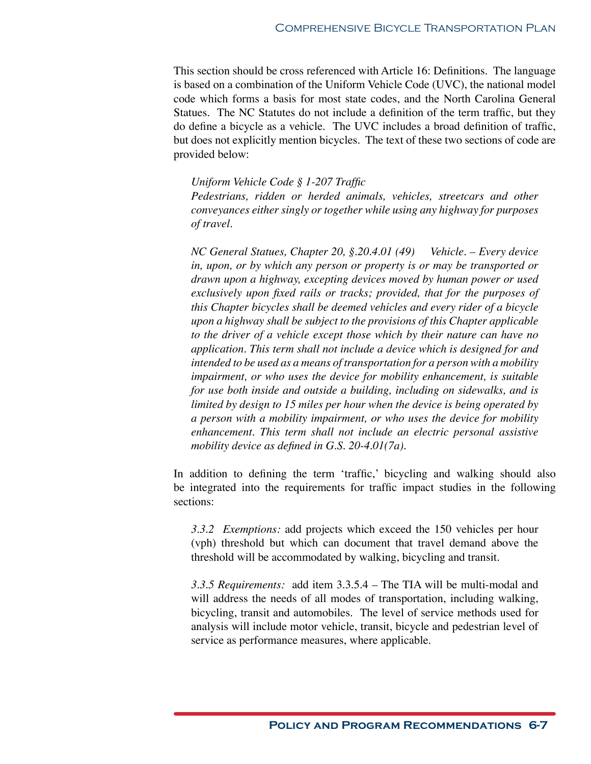This section should be cross referenced with Article 16: Definitions. The language is based on a combination of the Uniform Vehicle Code (UVC), the national model code which forms a basis for most state codes, and the North Carolina General Statues. The NC Statutes do not include a definition of the term traffic, but they do define a bicycle as a vehicle. The UVC includes a broad definition of traffic, but does not explicitly mention bicycles. The text of these two sections of code are provided below:

## *Uniform Vehicle Code § 1-207 Traffic*

*Pedestrians, ridden or herded animals, vehicles, streetcars and other conveyances either singly or together while using any highway for purposes of travel.*

*NC General Statues, Chapter 20, §.20.4.01 (49) Vehicle. – Every device*  in, upon, or by which any person or property is or may be transported or *drawn upon a highway, excepting devices moved by human power or used exclusively upon fixed rails or tracks; provided, that for the purposes of this Chapter bicycles shall be deemed vehicles and every rider of a bicycle upon a highway shall be subject to the provisions of this Chapter applicable to the driver of a vehicle except those which by their nature can have no application. This term shall not include a device which is designed for and intended to be used as a means of transportation for a person with a mobility impairment, or who uses the device for mobility enhancement, is suitable for use both inside and outside a building, including on sidewalks, and is limited by design to 15 miles per hour when the device is being operated by a person with a mobility impairment, or who uses the device for mobility enhancement. This term shall not include an electric personal assistive mobility device as defined in G.S. 20-4.01(7a).*

In addition to defining the term 'traffic,' bicycling and walking should also be integrated into the requirements for traffic impact studies in the following sections:

*3.3.2 Exemptions:* add projects which exceed the 150 vehicles per hour (vph) threshold but which can document that travel demand above the threshold will be accommodated by walking, bicycling and transit.

*3.3.5 Requirements:* add item 3.3.5.4 – The TIA will be multi-modal and will address the needs of all modes of transportation, including walking, bicycling, transit and automobiles. The level of service methods used for analysis will include motor vehicle, transit, bicycle and pedestrian level of service as performance measures, where applicable.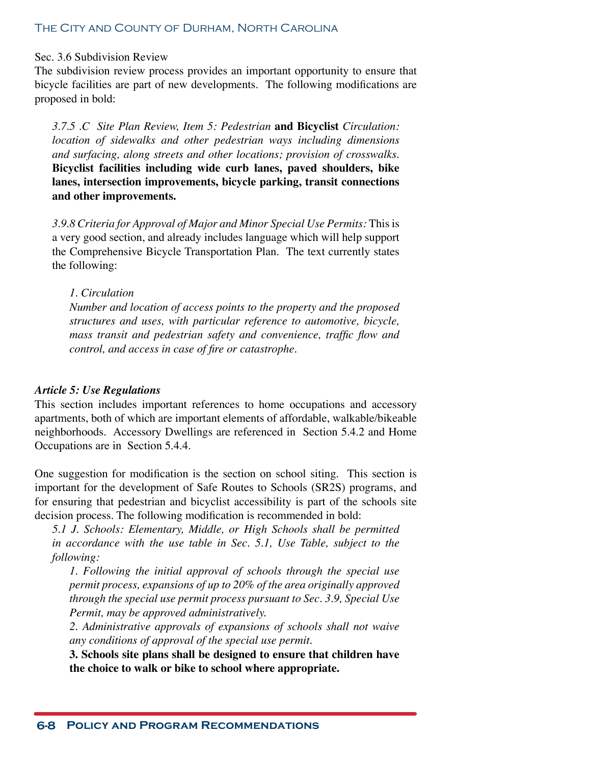#### Sec. 3.6 Subdivision Review

The subdivision review process provides an important opportunity to ensure that bicycle facilities are part of new developments. The following modifications are proposed in bold:

*3.7.5 .C Site Plan Review, Item 5: Pedestrian* **and Bicyclist** *Circulation: location of sidewalks and other pedestrian ways including dimensions and surfacing, along streets and other locations; provision of crosswalks.*  **Bicyclist facilities including wide curb lanes, paved shoulders, bike lanes, intersection improvements, bicycle parking, transit connections and other improvements.**

*3.9.8 Criteria for Approval of Major and Minor Special Use Permits:* This is a very good section, and already includes language which will help support the Comprehensive Bicycle Transportation Plan. The text currently states the following:

#### *1. Circulation*

*Number and location of access points to the property and the proposed structures and uses, with particular reference to automotive, bicycle, mass transit and pedestrian safety and convenience, traffic flow and control, and access in case of fire or catastrophe.*

#### *Article 5: Use Regulations*

This section includes important references to home occupations and accessory apartments, both of which are important elements of affordable, walkable/bikeable neighborhoods. Accessory Dwellings are referenced in Section 5.4.2 and Home Occupations are in Section 5.4.4.

One suggestion for modification is the section on school siting. This section is important for the development of Safe Routes to Schools (SR2S) programs, and for ensuring that pedestrian and bicyclist accessibility is part of the schools site decision process. The following modification is recommended in bold:

*5.1 J. Schools: Elementary, Middle, or High Schools shall be permitted in accordance with the use table in Sec. 5.1, Use Table, subject to the following:*

*1. Following the initial approval of schools through the special use permit process, expansions of up to 20% of the area originally approved through the special use permit process pursuant to Sec. 3.9, Special Use Permit, may be approved administratively.*

*2. Administrative approvals of expansions of schools shall not waive any conditions of approval of the special use permit.*

**3. Schools site plans shall be designed to ensure that children have the choice to walk or bike to school where appropriate.**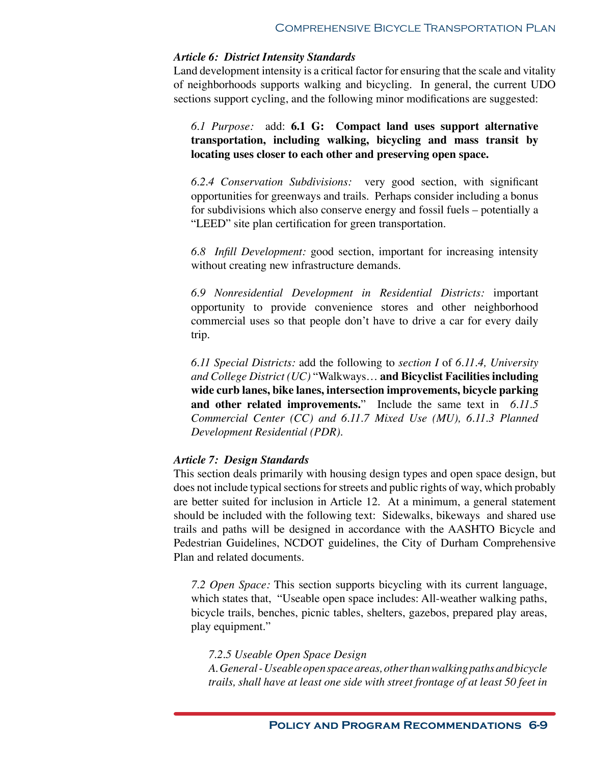#### *Article 6: District Intensity Standards*

Land development intensity is a critical factor for ensuring that the scale and vitality of neighborhoods supports walking and bicycling. In general, the current UDO sections support cycling, and the following minor modifications are suggested:

*6.1 Purpose:* add: **6.1 G: Compact land uses support alternative transportation, including walking, bicycling and mass transit by locating uses closer to each other and preserving open space.**

*6.2.4 Conservation Subdivisions:* very good section, with significant opportunities for greenways and trails. Perhaps consider including a bonus for subdivisions which also conserve energy and fossil fuels – potentially a "LEED" site plan certification for green transportation.

*6.8 Infill Development:* good section, important for increasing intensity without creating new infrastructure demands.

*6.9 Nonresidential Development in Residential Districts:* important opportunity to provide convenience stores and other neighborhood commercial uses so that people don't have to drive a car for every daily trip.

*6.11 Special Districts:* add the following to *section I* of *6.11.4, University and College District (UC)* "Walkways… **and Bicyclist Facilities including wide curb lanes, bike lanes, intersection improvements, bicycle parking and other related improvements.**" Include the same text in *6.11.5 Commercial Center (CC) and 6.11.7 Mixed Use (MU), 6.11.3 Planned Development Residential (PDR)*.

#### *Article 7: Design Standards*

This section deals primarily with housing design types and open space design, but does not include typical sections for streets and public rights of way, which probably are better suited for inclusion in Article 12. At a minimum, a general statement should be included with the following text: Sidewalks, bikeways and shared use trails and paths will be designed in accordance with the AASHTO Bicycle and Pedestrian Guidelines, NCDOT guidelines, the City of Durham Comprehensive Plan and related documents.

*7.2 Open Space:* This section supports bicycling with its current language, which states that, "Useable open space includes: All-weather walking paths, bicycle trails, benches, picnic tables, shelters, gazebos, prepared play areas, play equipment."

*7.2.5 Useable Open Space Design*

*A. General - Useable open space areas, other than walking paths and bicycle trails, shall have at least one side with street frontage of at least 50 feet in*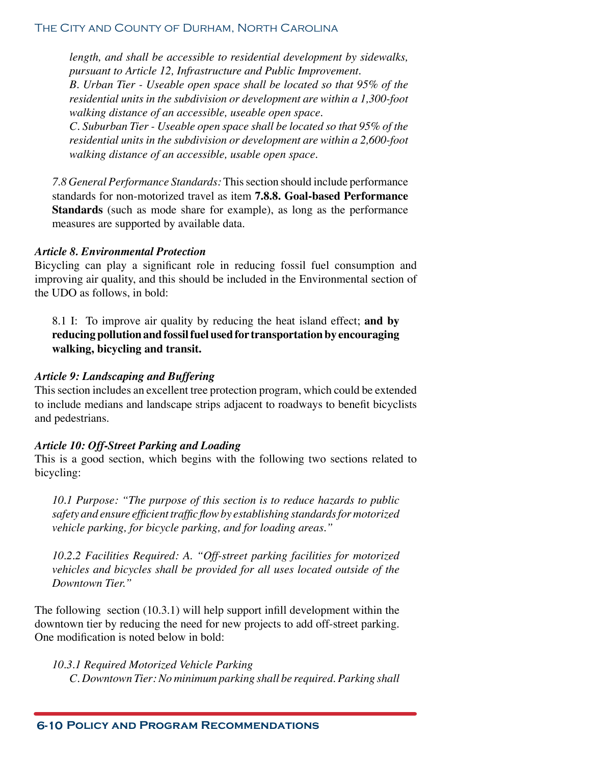*length, and shall be accessible to residential development by sidewalks, pursuant to Article 12, Infrastructure and Public Improvement.*

*B. Urban Tier - Useable open space shall be located so that 95% of the residential units in the subdivision or development are within a 1,300-foot walking distance of an accessible, useable open space.*

*C. Suburban Tier - Useable open space shall be located so that 95% of the residential units in the subdivision or development are within a 2,600-foot walking distance of an accessible, usable open space.*

*7.8 General Performance Standards:* This section should include performance standards for non-motorized travel as item **7.8.8. Goal-based Performance Standards** (such as mode share for example), as long as the performance measures are supported by available data.

# *Article 8. Environmental Protection*

Bicycling can play a significant role in reducing fossil fuel consumption and improving air quality, and this should be included in the Environmental section of the UDO as follows, in bold:

8.1 I: To improve air quality by reducing the heat island effect; **and by reducing pollution and fossil fuel used for transportation by encouraging walking, bicycling and transit.**

# *Article 9: Landscaping and Buffering*

This section includes an excellent tree protection program, which could be extended to include medians and landscape strips adjacent to roadways to benefit bicyclists and pedestrians.

# *Article 10: Off-Street Parking and Loading*

This is a good section, which begins with the following two sections related to bicycling:

*10.1 Purpose: "The purpose of this section is to reduce hazards to public safety and ensure efficient traffic flow by establishing standards for motorized vehicle parking, for bicycle parking, and for loading areas."*

*10.2.2 Facilities Required: A. "Off-street parking facilities for motorized vehicles and bicycles shall be provided for all uses located outside of the Downtown Tier."*

The following section (10.3.1) will help support infill development within the downtown tier by reducing the need for new projects to add off-street parking. One modification is noted below in bold:

### *10.3.1 Required Motorized Vehicle Parking C. Downtown Tier: No minimum parking shall be required. Parking shall*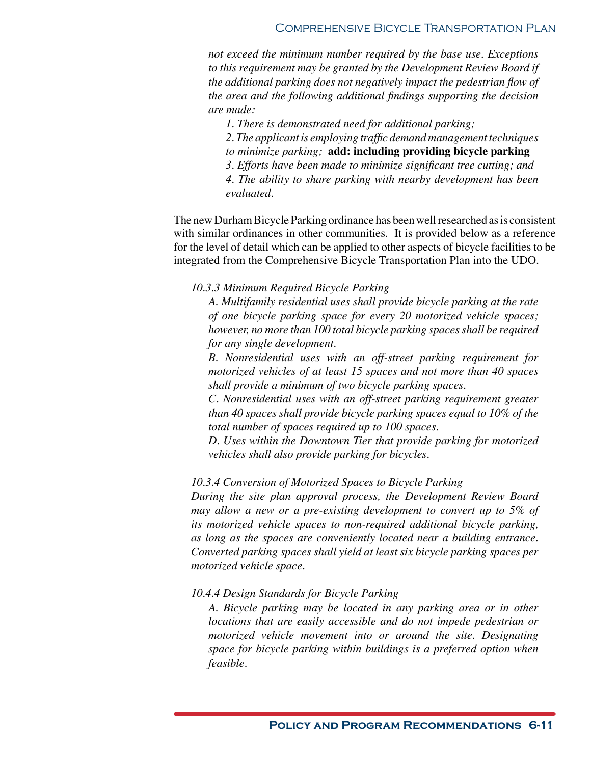*not exceed the minimum number required by the base use. Exceptions to this requirement may be granted by the Development Review Board if the additional parking does not negatively impact the pedestrian flow of the area and the following additional findings supporting the decision are made:*

*1. There is demonstrated need for additional parking;*

*2. The applicant is employing traffic demand management techniques to minimize parking;* **add: including providing bicycle parking**

*3. Efforts have been made to minimize significant tree cutting; and*

*4. The ability to share parking with nearby development has been evaluated.*

The new Durham Bicycle Parking ordinance has been well researched as is consistent with similar ordinances in other communities. It is provided below as a reference for the level of detail which can be applied to other aspects of bicycle facilities to be integrated from the Comprehensive Bicycle Transportation Plan into the UDO.

*10.3.3 Minimum Required Bicycle Parking*

*A. Multifamily residential uses shall provide bicycle parking at the rate of one bicycle parking space for every 20 motorized vehicle spaces; however, no more than 100 total bicycle parking spaces shall be required for any single development.*

*B. Nonresidential uses with an off-street parking requirement for motorized vehicles of at least 15 spaces and not more than 40 spaces shall provide a minimum of two bicycle parking spaces.*

*C. Nonresidential uses with an off-street parking requirement greater than 40 spaces shall provide bicycle parking spaces equal to 10% of the total number of spaces required up to 100 spaces.*

*D. Uses within the Downtown Tier that provide parking for motorized vehicles shall also provide parking for bicycles.*

# *10.3.4 Conversion of Motorized Spaces to Bicycle Parking*

*During the site plan approval process, the Development Review Board may allow a new or a pre-existing development to convert up to 5% of its motorized vehicle spaces to non-required additional bicycle parking, as long as the spaces are conveniently located near a building entrance. Converted parking spaces shall yield at least six bicycle parking spaces per motorized vehicle space.*

#### *10.4.4 Design Standards for Bicycle Parking*

*A. Bicycle parking may be located in any parking area or in other locations that are easily accessible and do not impede pedestrian or motorized vehicle movement into or around the site. Designating space for bicycle parking within buildings is a preferred option when feasible.*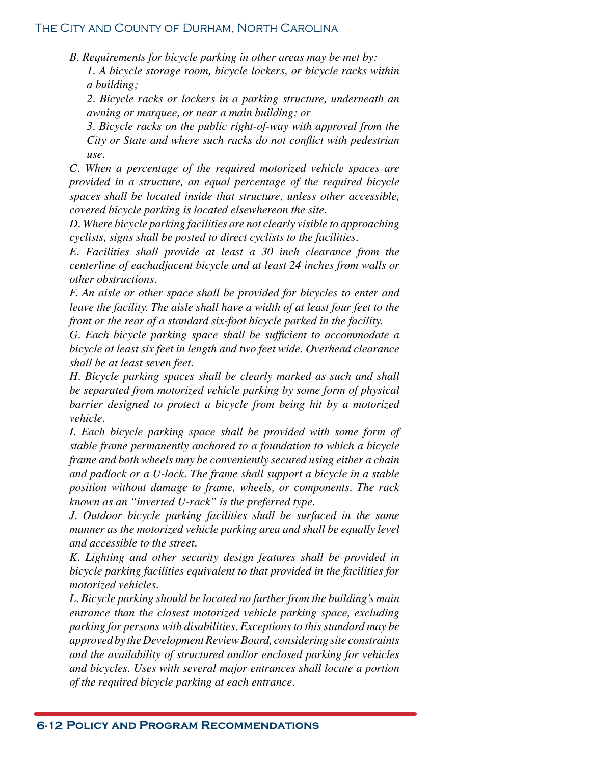*B. Requirements for bicycle parking in other areas may be met by: 1. A bicycle storage room, bicycle lockers, or bicycle racks within a building;*

*2. Bicycle racks or lockers in a parking structure, underneath an awning or marquee, or near a main building; or*

*3. Bicycle racks on the public right-of-way with approval from the City or State and where such racks do not conflict with pedestrian use.*

*C. When a percentage of the required motorized vehicle spaces are provided in a structure, an equal percentage of the required bicycle spaces shall be located inside that structure, unless other accessible, covered bicycle parking is located elsewhereon the site.*

*D. Where bicycle parking facilities are not clearly visible to approaching cyclists, signs shall be posted to direct cyclists to the facilities.*

*E. Facilities shall provide at least a 30 inch clearance from the centerline of eachadjacent bicycle and at least 24 inches from walls or other obstructions.*

*F. An aisle or other space shall be provided for bicycles to enter and leave the facility. The aisle shall have a width of at least four feet to the front or the rear of a standard six-foot bicycle parked in the facility.*

*G. Each bicycle parking space shall be sufficient to accommodate a bicycle at least six feet in length and two feet wide. Overhead clearance shall be at least seven feet.*

*H. Bicycle parking spaces shall be clearly marked as such and shall be separated from motorized vehicle parking by some form of physical barrier designed to protect a bicycle from being hit by a motorized vehicle.*

*I. Each bicycle parking space shall be provided with some form of stable frame permanently anchored to a foundation to which a bicycle frame and both wheels may be conveniently secured using either a chain and padlock or a U-lock. The frame shall support a bicycle in a stable position without damage to frame, wheels, or components. The rack known as an "inverted U-rack" is the preferred type.*

*J. Outdoor bicycle parking facilities shall be surfaced in the same manner as the motorized vehicle parking area and shall be equally level and accessible to the street.*

*K. Lighting and other security design features shall be provided in bicycle parking facilities equivalent to that provided in the facilities for motorized vehicles.*

*L. Bicycle parking should be located no further from the building's main entrance than the closest motorized vehicle parking space, excluding parking for persons with disabilities. Exceptions to this standard may be approved by the Development Review Board, considering site constraints and the availability of structured and/or enclosed parking for vehicles and bicycles. Uses with several major entrances shall locate a portion of the required bicycle parking at each entrance.*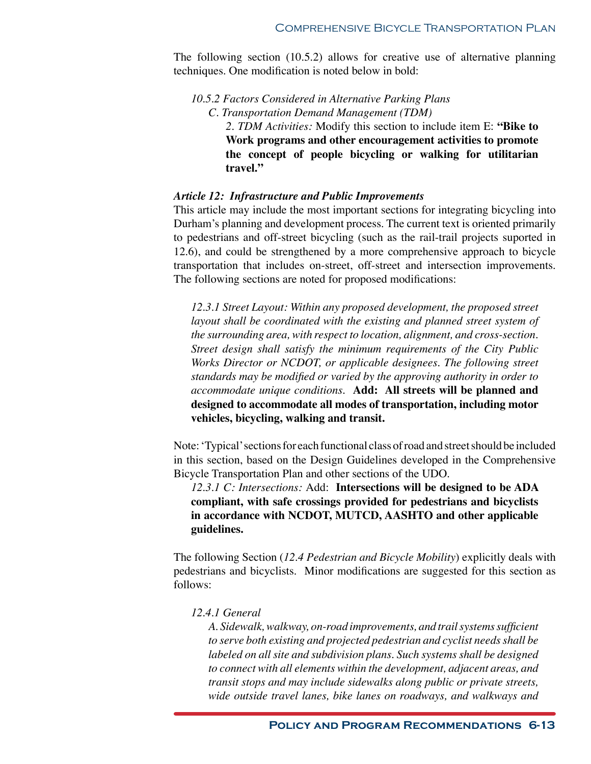The following section (10.5.2) allows for creative use of alternative planning techniques. One modification is noted below in bold:

*10.5.2 Factors Considered in Alternative Parking Plans C. Transportation Demand Management (TDM) 2. TDM Activities:* Modify this section to include item E: **"Bike to Work programs and other encouragement activities to promote the concept of people bicycling or walking for utilitarian travel."**

# *Article 12: Infrastructure and Public Improvements*

This article may include the most important sections for integrating bicycling into Durham's planning and development process. The current text is oriented primarily to pedestrians and off-street bicycling (such as the rail-trail projects suported in 12.6), and could be strengthened by a more comprehensive approach to bicycle transportation that includes on-street, off-street and intersection improvements. The following sections are noted for proposed modifications:

*12.3.1 Street Layout: Within any proposed development, the proposed street layout shall be coordinated with the existing and planned street system of the surrounding area, with respect to location, alignment, and cross-section. Street design shall satisfy the minimum requirements of the City Public Works Director or NCDOT, or applicable designees. The following street standards may be modified or varied by the approving authority in order to accommodate unique conditions.* **Add: All streets will be planned and designed to accommodate all modes of transportation, including motor vehicles, bicycling, walking and transit.** 

Note: 'Typical' sections for each functional class of road and street should be included in this section, based on the Design Guidelines developed in the Comprehensive Bicycle Transportation Plan and other sections of the UDO.

*12.3.1 C: Intersections:* Add: **Intersections will be designed to be ADA compliant, with safe crossings provided for pedestrians and bicyclists in accordance with NCDOT, MUTCD, AASHTO and other applicable guidelines.**

The following Section (*12.4 Pedestrian and Bicycle Mobility*) explicitly deals with pedestrians and bicyclists. Minor modifications are suggested for this section as follows:

#### *12.4.1 General*

*A. Sidewalk, walkway, on-road improvements, and trail systems sufficient to serve both existing and projected pedestrian and cyclist needs shall be*  labeled on all site and subdivision plans. Such systems shall be designed *to connect with all elements within the development, adjacent areas, and transit stops and may include sidewalks along public or private streets, wide outside travel lanes, bike lanes on roadways, and walkways and*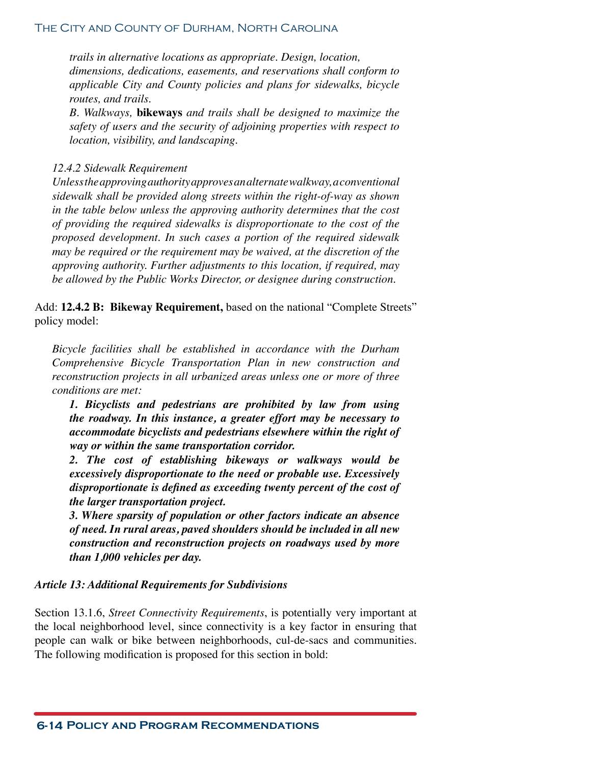*trails in alternative locations as appropriate. Design, location, dimensions, dedications, easements, and reservations shall conform to applicable City and County policies and plans for sidewalks, bicycle routes, and trails.*

*B. Walkways,* **bikeways** *and trails shall be designed to maximize the safety of users and the security of adjoining properties with respect to location, visibility, and landscaping.*

#### *12.4.2 Sidewalk Requirement*

*Unless the approving authority approves an alternate walkway, a conventional sidewalk shall be provided along streets within the right-of-way as shown in the table below unless the approving authority determines that the cost of providing the required sidewalks is disproportionate to the cost of the proposed development. In such cases a portion of the required sidewalk may be required or the requirement may be waived, at the discretion of the approving authority. Further adjustments to this location, if required, may be allowed by the Public Works Director, or designee during construction.*

Add: **12.4.2 B: Bikeway Requirement,** based on the national "Complete Streets" policy model:

*Bicycle facilities shall be established in accordance with the Durham Comprehensive Bicycle Transportation Plan in new construction and reconstruction projects in all urbanized areas unless one or more of three conditions are met:*

*1. Bicyclists and pedestrians are prohibited by law from using the roadway. In this instance, a greater effort may be necessary to accommodate bicyclists and pedestrians elsewhere within the right of way or within the same transportation corridor.*

*2. The cost of establishing bikeways or walkways would be excessively disproportionate to the need or probable use. Excessively disproportionate is defined as exceeding twenty percent of the cost of the larger transportation project.*

*3. Where sparsity of population or other factors indicate an absence of need. In rural areas, paved shoulders should be included in all new construction and reconstruction projects on roadways used by more than 1,000 vehicles per day.*

#### *Article 13: Additional Requirements for Subdivisions*

Section 13.1.6, *Street Connectivity Requirements*, is potentially very important at the local neighborhood level, since connectivity is a key factor in ensuring that people can walk or bike between neighborhoods, cul-de-sacs and communities. The following modification is proposed for this section in bold: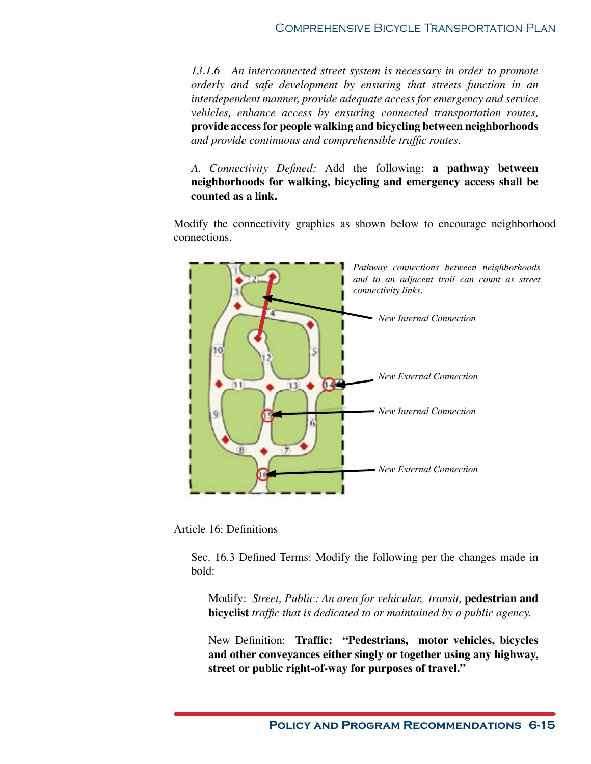*13.1.6 An interconnected street system is necessary in order to promote orderly and safe development by ensuring that streets function in an interdependent manner, provide adequate access for emergency and service vehicles, enhance access by ensuring connected transportation routes,*  **provide access for people walking and bicycling between neighborhoods**  *and provide continuous and comprehensible traffic routes.*

*A. Connectivity Defined:* Add the following: **a pathway between neighborhoods for walking, bicycling and emergency access shall be counted as a link.**

Modify the connectivity graphics as shown below to encourage neighborhood connections.



Article 16: Definitions

Sec. 16.3 Defined Terms: Modify the following per the changes made in bold:

Modify: *Street, Public: An area for vehicular, transit,* **pedestrian and bicyclist** *traffic that is dedicated to or maintained by a public agency.*

New Definition: **Traffic: "Pedestrians, motor vehicles, bicycles and other conveyances either singly or together using any highway, street or public right-of-way for purposes of travel."**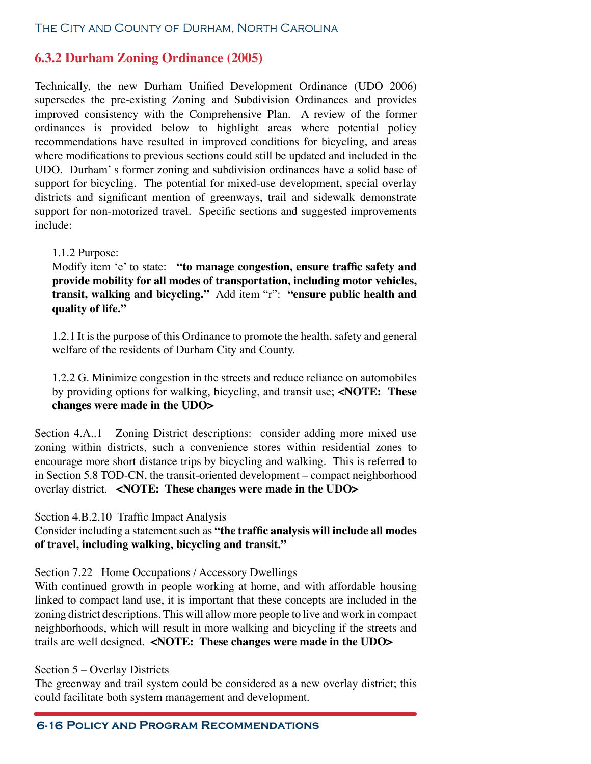# **6.3.2 Durham Zoning Ordinance (2005)**

Technically, the new Durham Unified Development Ordinance (UDO 2006) supersedes the pre-existing Zoning and Subdivision Ordinances and provides improved consistency with the Comprehensive Plan. A review of the former ordinances is provided below to highlight areas where potential policy recommendations have resulted in improved conditions for bicycling, and areas where modifications to previous sections could still be updated and included in the UDO. Durham' s former zoning and subdivision ordinances have a solid base of support for bicycling. The potential for mixed-use development, special overlay districts and significant mention of greenways, trail and sidewalk demonstrate support for non-motorized travel. Specific sections and suggested improvements include:

# 1.1.2 Purpose:

Modify item 'e' to state: **"to manage congestion, ensure traffic safety and provide mobility for all modes of transportation, including motor vehicles, transit, walking and bicycling."** Add item "r": **"ensure public health and quality of life."** 

1.2.1 It is the purpose of this Ordinance to promote the health, safety and general welfare of the residents of Durham City and County.

1.2.2 G. Minimize congestion in the streets and reduce reliance on automobiles by providing options for walking, bicycling, and transit use; **<NOTE: These changes were made in the UDO>**

Section 4.A..1 Zoning District descriptions: consider adding more mixed use zoning within districts, such a convenience stores within residential zones to encourage more short distance trips by bicycling and walking. This is referred to in Section 5.8 TOD-CN, the transit-oriented development – compact neighborhood overlay district. **<NOTE: These changes were made in the UDO>**

Section 4.B.2.10 Traffic Impact Analysis

Consider including a statement such as **"the traffic analysis will include all modes of travel, including walking, bicycling and transit."**

Section 7.22 Home Occupations / Accessory Dwellings

With continued growth in people working at home, and with affordable housing linked to compact land use, it is important that these concepts are included in the zoning district descriptions. This will allow more people to live and work in compact neighborhoods, which will result in more walking and bicycling if the streets and trails are well designed. **<NOTE: These changes were made in the UDO>**

# Section 5 – Overlay Districts

The greenway and trail system could be considered as a new overlay district; this could facilitate both system management and development.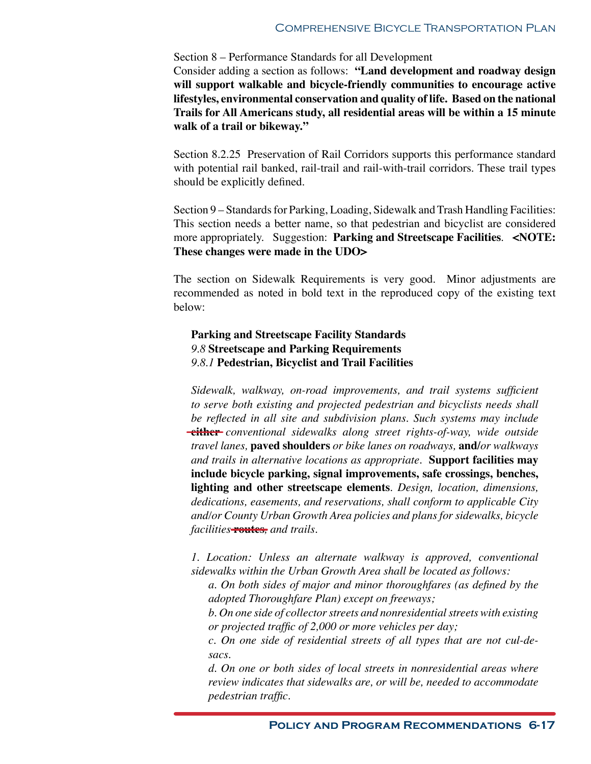#### Section 8 – Performance Standards for all Development

Consider adding a section as follows: **"Land development and roadway design will support walkable and bicycle-friendly communities to encourage active lifestyles, environmental conservation and quality of life. Based on the national Trails for All Americans study, all residential areas will be within a 15 minute walk of a trail or bikeway."** 

Section 8.2.25 Preservation of Rail Corridors supports this performance standard with potential rail banked, rail-trail and rail-with-trail corridors. These trail types should be explicitly defined.

Section 9 – Standards for Parking, Loading, Sidewalk and Trash Handling Facilities: This section needs a better name, so that pedestrian and bicyclist are considered more appropriately. Suggestion: **Parking and Streetscape Facilities**. **<NOTE: These changes were made in the UDO>**

The section on Sidewalk Requirements is very good. Minor adjustments are recommended as noted in bold text in the reproduced copy of the existing text below:

# **Parking and Streetscape Facility Standards**  *9.8* **Streetscape and Parking Requirements**  *9.8.1* **Pedestrian, Bicyclist and Trail Facilities**

*Sidewalk, walkway, on-road improvements, and trail systems sufficient to serve both existing and projected pedestrian and bicyclists needs shall be reflected in all site and subdivision plans. Such systems may include*  **either** *conventional sidewalks along street rights-of-way, wide outside travel lanes,* **paved shoulders** *or bike lanes on roadways,* **and/***or walkways and trails in alternative locations as appropriate.* **Support facilities may include bicycle parking, signal improvements, safe crossings, benches, lighting and other streetscape elements***. Design, location, dimensions, dedications, easements, and reservations, shall conform to applicable City and/or County Urban Growth Area policies and plans for sidewalks, bicycle facilities* **routes***, and trails.*

*1. Location: Unless an alternate walkway is approved, conventional sidewalks within the Urban Growth Area shall be located as follows:* 

*a. On both sides of major and minor thoroughfares (as defined by the adopted Thoroughfare Plan) except on freeways;* 

*b. On one side of collector streets and nonresidential streets with existing or projected traffic of 2,000 or more vehicles per day;* 

*c. On one side of residential streets of all types that are not cul-desacs.* 

*d. On one or both sides of local streets in nonresidential areas where review indicates that sidewalks are, or will be, needed to accommodate pedestrian traffic.*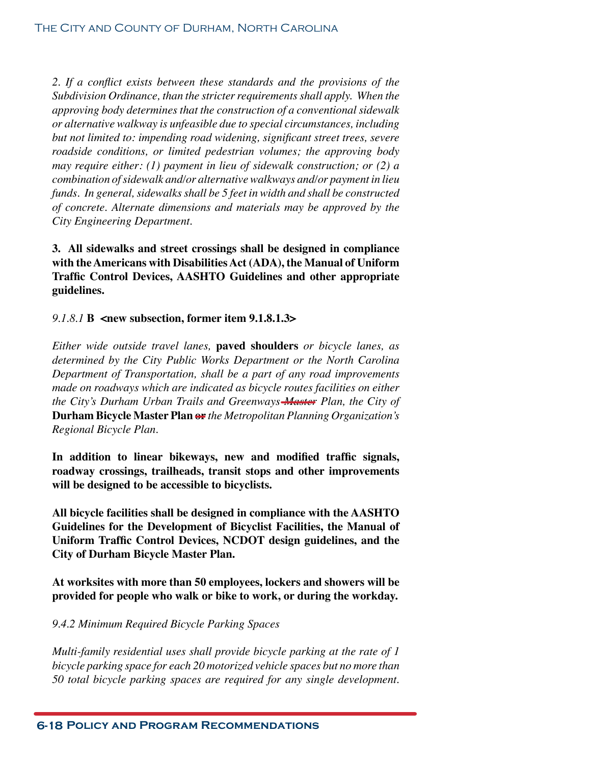*2. If a conflict exists between these standards and the provisions of the Subdivision Ordinance, than the stricter requirements shall apply. When the approving body determines that the construction of a conventional sidewalk or alternative walkway is unfeasible due to special circumstances, including but not limited to: impending road widening, significant street trees, severe roadside conditions, or limited pedestrian volumes; the approving body may require either: (1) payment in lieu of sidewalk construction; or (2) a combination of sidewalk and/or alternative walkways and/or payment in lieu funds. In general, sidewalks shall be 5 feet in width and shall be constructed of concrete. Alternate dimensions and materials may be approved by the City Engineering Department.*

**3. All sidewalks and street crossings shall be designed in compliance with the Americans with Disabilities Act (ADA), the Manual of Uniform Traffic Control Devices, AASHTO Guidelines and other appropriate guidelines.**

*9.1.8.1* **B <new subsection, former item 9.1.8.1.3>**

*Either wide outside travel lanes,* **paved shoulders** *or bicycle lanes, as determined by the City Public Works Department or the North Carolina Department of Transportation, shall be a part of any road improvements made on roadways which are indicated as bicycle routes facilities on either the City's Durham Urban Trails and Greenways Master Plan, the City of*  **Durham Bicycle Master Plan or** *the Metropolitan Planning Organization's Regional Bicycle Plan.* 

**In addition to linear bikeways, new and modified traffic signals, roadway crossings, trailheads, transit stops and other improvements will be designed to be accessible to bicyclists.**

**All bicycle facilities shall be designed in compliance with the AASHTO Guidelines for the Development of Bicyclist Facilities, the Manual of Uniform Traffic Control Devices, NCDOT design guidelines, and the City of Durham Bicycle Master Plan.**

**At worksites with more than 50 employees, lockers and showers will be provided for people who walk or bike to work, or during the workday.**

# *9.4.2 Minimum Required Bicycle Parking Spaces*

*Multi-family residential uses shall provide bicycle parking at the rate of 1 bicycle parking space for each 20 motorized vehicle spaces but no more than 50 total bicycle parking spaces are required for any single development.*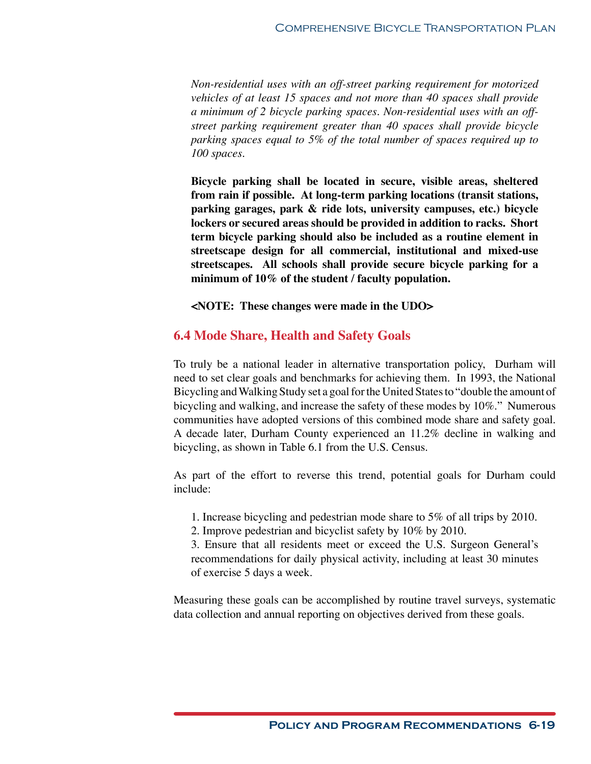*Non-residential uses with an off-street parking requirement for motorized vehicles of at least 15 spaces and not more than 40 spaces shall provide a minimum of 2 bicycle parking spaces. Non-residential uses with an offstreet parking requirement greater than 40 spaces shall provide bicycle parking spaces equal to 5% of the total number of spaces required up to 100 spaces.* 

**Bicycle parking shall be located in secure, visible areas, sheltered from rain if possible. At long-term parking locations (transit stations, parking garages, park & ride lots, university campuses, etc.) bicycle lockers or secured areas should be provided in addition to racks. Short term bicycle parking should also be included as a routine element in streetscape design for all commercial, institutional and mixed-use streetscapes. All schools shall provide secure bicycle parking for a minimum of 10% of the student / faculty population.**

**<NOTE: These changes were made in the UDO>**

# **6.4 Mode Share, Health and Safety Goals**

To truly be a national leader in alternative transportation policy, Durham will need to set clear goals and benchmarks for achieving them. In 1993, the National Bicycling and Walking Study set a goal for the United States to "double the amount of bicycling and walking, and increase the safety of these modes by 10%." Numerous communities have adopted versions of this combined mode share and safety goal. A decade later, Durham County experienced an 11.2% decline in walking and bicycling, as shown in Table 6.1 from the U.S. Census.

As part of the effort to reverse this trend, potential goals for Durham could include:

- 1. Increase bicycling and pedestrian mode share to 5% of all trips by 2010.
- 2. Improve pedestrian and bicyclist safety by 10% by 2010.

3. Ensure that all residents meet or exceed the U.S. Surgeon General's recommendations for daily physical activity, including at least 30 minutes of exercise 5 days a week.

Measuring these goals can be accomplished by routine travel surveys, systematic data collection and annual reporting on objectives derived from these goals.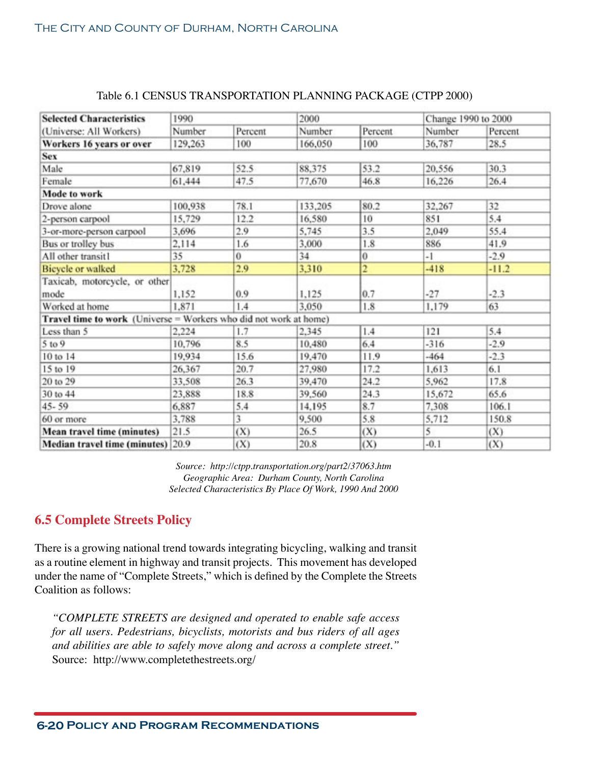| <b>Selected Characteristics</b>                                   | 1990    |         | 2000    |                | Change 1990 to 2000 |         |
|-------------------------------------------------------------------|---------|---------|---------|----------------|---------------------|---------|
| (Universe: All Workers)                                           | Number  | Percent | Number  | Percent        | Number              | Percent |
| Workers 16 years or over                                          | 129,263 | 100     | 166,050 | 100            | 36,787              | 28.5    |
| Sex                                                               |         |         |         |                |                     |         |
| Male                                                              | 67,819  | 52.5    | 88,375  | 53.2           | 20,556              | 30.3    |
| Female                                                            | 61,444  | 47.5    | 77,670  | 46.8           | 16,226              | 26.4    |
| Mode to work                                                      |         |         |         |                |                     |         |
| Drove alone                                                       | 100,938 | 78.1    | 133,205 | 80.2           | 32,267              | 32      |
| 2-person carpool                                                  | 15,729  | 12.2    | 16,580  | 10             | 851                 | 5.4     |
| 3-or-more-person carpool                                          | 3,696   | 2.9     | 5,745   | 3.5            | 2,049               | 55.4    |
| Bus or trolley bus                                                | 2,114   | 1.6     | 3,000   | 1.8            | 886                 | 41.9    |
| All other transit1                                                | 35      | 0       | 34      | $\bf{0}$       | $-1$                | $-2.9$  |
| <b>Bicycle or walked</b>                                          | 3,728   | 2.9     | 3,310   | $\overline{2}$ | $-418$              | $-11.2$ |
| Taxicab, motorcycle, or other<br>mode                             | 1,152   | 0.9     | 1,125   | 0.7            | $-27$               | $-2.3$  |
| Worked at home                                                    | 1,871   | 1.4     | 3,050   | 1.8            | 1,179               | 63      |
| Travel time to work (Universe = Workers who did not work at home) |         |         |         |                |                     |         |
| Less than 5                                                       | 2,224   | 1.7     | 2.345   | 1.4            | 121                 | 5.4     |
| 5 to 9                                                            | 10,796  | 8.5     | 10,480  | 6.4            | $-316$              | $-2.9$  |
| 10 to 14                                                          | 19,934  | 15.6    | 19,470  | 11.9           | $-464$              | $-2.3$  |
| 15 to 19                                                          | 26,367  | 20.7    | 27,980  | 17.2           | 1,613               | 6.1     |
| 20 to 29                                                          | 33,508  | 26.3    | 39,470  | 24.2           | 5.962               | 17.8    |
| 30 to 44                                                          | 23,888  | 18.8    | 39,560  | 24.3           | 15,672              | 65.6    |
| $45 - 59$                                                         | 6,887   | 5.4     | 14,195  | 8.7            | 7,308               | 106.1   |
| 60 or more                                                        | 3,788   | 3       | 9,500   | 5.8            | 5,712               | 150.8   |
| Mean travel time (minutes)                                        | 21.5    | (X)     | 26.5    | (X)            | 5                   | (X)     |
| Median travel time (minutes) 20.9                                 |         | (X)     | 20.8    | (X)            | $-0.1$              | (X)     |
|                                                                   |         |         |         |                |                     |         |

# Table 6.1 CENSUS TRANSPORTATION PLANNING PACKAGE (CTPP 2000)

*Source: http://ctpp.transportation.org/part2/37063.htm Geographic Area: Durham County, North Carolina Selected Characteristics By Place Of Work, 1990 And 2000*

# **6.5 Complete Streets Policy**

There is a growing national trend towards integrating bicycling, walking and transit as a routine element in highway and transit projects. This movement has developed under the name of "Complete Streets," which is defined by the Complete the Streets Coalition as follows:

*"COMPLETE STREETS are designed and operated to enable safe access for all users. Pedestrians, bicyclists, motorists and bus riders of all ages and abilities are able to safely move along and across a complete street."* Source: http://www.completethestreets.org/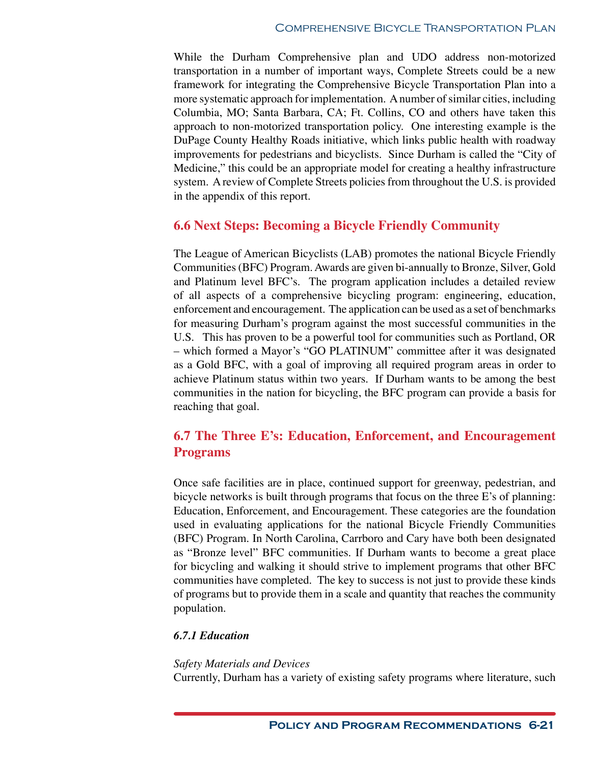While the Durham Comprehensive plan and UDO address non-motorized transportation in a number of important ways, Complete Streets could be a new framework for integrating the Comprehensive Bicycle Transportation Plan into a more systematic approach for implementation. A number of similar cities, including Columbia, MO; Santa Barbara, CA; Ft. Collins, CO and others have taken this approach to non-motorized transportation policy. One interesting example is the DuPage County Healthy Roads initiative, which links public health with roadway improvements for pedestrians and bicyclists. Since Durham is called the "City of Medicine," this could be an appropriate model for creating a healthy infrastructure system. A review of Complete Streets policies from throughout the U.S. is provided in the appendix of this report.

# **6.6 Next Steps: Becoming a Bicycle Friendly Community**

The League of American Bicyclists (LAB) promotes the national Bicycle Friendly Communities (BFC) Program. Awards are given bi-annually to Bronze, Silver, Gold and Platinum level BFC's. The program application includes a detailed review of all aspects of a comprehensive bicycling program: engineering, education, enforcement and encouragement. The application can be used as a set of benchmarks for measuring Durham's program against the most successful communities in the U.S. This has proven to be a powerful tool for communities such as Portland, OR – which formed a Mayor's "GO PLATINUM" committee after it was designated as a Gold BFC, with a goal of improving all required program areas in order to achieve Platinum status within two years. If Durham wants to be among the best communities in the nation for bicycling, the BFC program can provide a basis for reaching that goal.

# **6.7 The Three E's: Education, Enforcement, and Encouragement Programs**

Once safe facilities are in place, continued support for greenway, pedestrian, and bicycle networks is built through programs that focus on the three E's of planning: Education, Enforcement, and Encouragement. These categories are the foundation used in evaluating applications for the national Bicycle Friendly Communities (BFC) Program. In North Carolina, Carrboro and Cary have both been designated as "Bronze level" BFC communities. If Durham wants to become a great place for bicycling and walking it should strive to implement programs that other BFC communities have completed. The key to success is not just to provide these kinds of programs but to provide them in a scale and quantity that reaches the community population.

# *6.7.1 Education*

# *Safety Materials and Devices*

Currently, Durham has a variety of existing safety programs where literature, such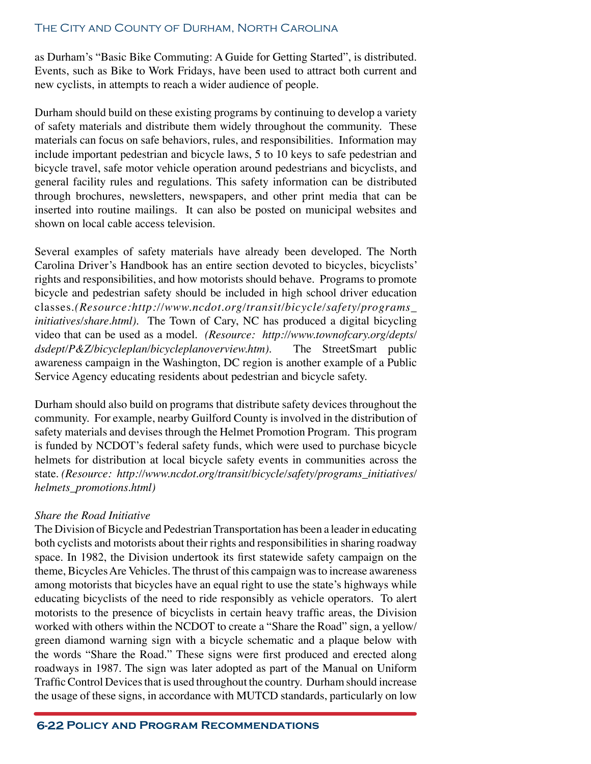as Durham's "Basic Bike Commuting: A Guide for Getting Started", is distributed. Events, such as Bike to Work Fridays, have been used to attract both current and new cyclists, in attempts to reach a wider audience of people.

Durham should build on these existing programs by continuing to develop a variety of safety materials and distribute them widely throughout the community. These materials can focus on safe behaviors, rules, and responsibilities. Information may include important pedestrian and bicycle laws, 5 to 10 keys to safe pedestrian and bicycle travel, safe motor vehicle operation around pedestrians and bicyclists, and general facility rules and regulations. This safety information can be distributed through brochures, newsletters, newspapers, and other print media that can be inserted into routine mailings. It can also be posted on municipal websites and shown on local cable access television.

Several examples of safety materials have already been developed. The North Carolina Driver's Handbook has an entire section devoted to bicycles, bicyclists' rights and responsibilities, and how motorists should behave. Programs to promote bicycle and pedestrian safety should be included in high school driver education classes.*(Resource:http://www.ncdot.org/transit/bicycle/safety/programs\_ initiatives/share.html).* The Town of Cary, NC has produced a digital bicycling video that can be used as a model. *(Resource: http://www.townofcary.org/depts/ dsdept/P&Z/bicycleplan/bicycleplanoverview.htm).* The StreetSmart public awareness campaign in the Washington, DC region is another example of a Public Service Agency educating residents about pedestrian and bicycle safety.

Durham should also build on programs that distribute safety devices throughout the community. For example, nearby Guilford County is involved in the distribution of safety materials and devises through the Helmet Promotion Program. This program is funded by NCDOT's federal safety funds, which were used to purchase bicycle helmets for distribution at local bicycle safety events in communities across the state. *(Resource: http://www.ncdot.org/transit/bicycle/safety/programs\_initiatives/ helmets\_promotions.html)*

#### *Share the Road Initiative*

The Division of Bicycle and Pedestrian Transportation has been a leader in educating both cyclists and motorists about their rights and responsibilities in sharing roadway space. In 1982, the Division undertook its first statewide safety campaign on the theme, Bicycles Are Vehicles. The thrust of this campaign was to increase awareness among motorists that bicycles have an equal right to use the state's highways while educating bicyclists of the need to ride responsibly as vehicle operators. To alert motorists to the presence of bicyclists in certain heavy traffic areas, the Division worked with others within the NCDOT to create a "Share the Road" sign, a yellow/ green diamond warning sign with a bicycle schematic and a plaque below with the words "Share the Road." These signs were first produced and erected along roadways in 1987. The sign was later adopted as part of the Manual on Uniform Traffic Control Devices that is used throughout the country. Durham should increase the usage of these signs, in accordance with MUTCD standards, particularly on low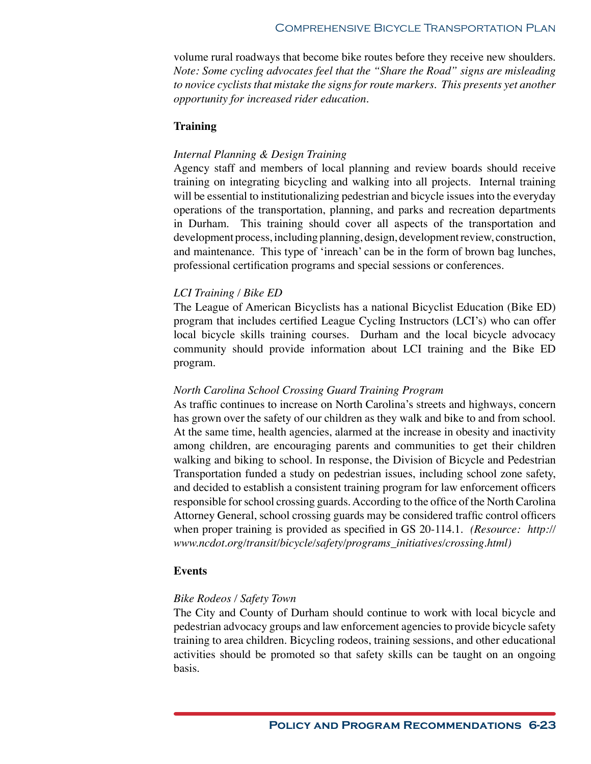volume rural roadways that become bike routes before they receive new shoulders. *Note: Some cycling advocates feel that the "Share the Road" signs are misleading to novice cyclists that mistake the signs for route markers. This presents yet another opportunity for increased rider education.*

## **Training**

## *Internal Planning & Design Training*

Agency staff and members of local planning and review boards should receive training on integrating bicycling and walking into all projects. Internal training will be essential to institutionalizing pedestrian and bicycle issues into the everyday operations of the transportation, planning, and parks and recreation departments in Durham. This training should cover all aspects of the transportation and development process, including planning, design, development review, construction, and maintenance. This type of 'inreach' can be in the form of brown bag lunches, professional certification programs and special sessions or conferences.

# *LCI Training / Bike ED*

The League of American Bicyclists has a national Bicyclist Education (Bike ED) program that includes certified League Cycling Instructors (LCI's) who can offer local bicycle skills training courses. Durham and the local bicycle advocacy community should provide information about LCI training and the Bike ED program.

#### *North Carolina School Crossing Guard Training Program*

As traffic continues to increase on North Carolina's streets and highways, concern has grown over the safety of our children as they walk and bike to and from school. At the same time, health agencies, alarmed at the increase in obesity and inactivity among children, are encouraging parents and communities to get their children walking and biking to school. In response, the Division of Bicycle and Pedestrian Transportation funded a study on pedestrian issues, including school zone safety, and decided to establish a consistent training program for law enforcement officers responsible for school crossing guards. According to the office of the North Carolina Attorney General, school crossing guards may be considered traffic control officers when proper training is provided as specified in GS 20-114.1. *(Resource: http:// www.ncdot.org/transit/bicycle/safety/programs\_initiatives/crossing.html)*

#### **Events**

#### *Bike Rodeos / Safety Town*

The City and County of Durham should continue to work with local bicycle and pedestrian advocacy groups and law enforcement agencies to provide bicycle safety training to area children. Bicycling rodeos, training sessions, and other educational activities should be promoted so that safety skills can be taught on an ongoing basis.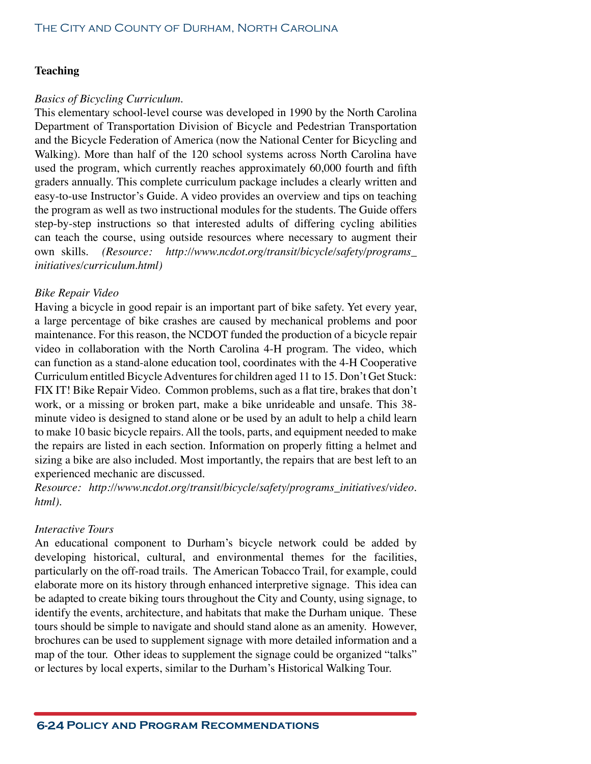# **Teaching**

## *Basics of Bicycling Curriculum.*

This elementary school-level course was developed in 1990 by the North Carolina Department of Transportation Division of Bicycle and Pedestrian Transportation and the Bicycle Federation of America (now the National Center for Bicycling and Walking). More than half of the 120 school systems across North Carolina have used the program, which currently reaches approximately 60,000 fourth and fifth graders annually. This complete curriculum package includes a clearly written and easy-to-use Instructor's Guide. A video provides an overview and tips on teaching the program as well as two instructional modules for the students. The Guide offers step-by-step instructions so that interested adults of differing cycling abilities can teach the course, using outside resources where necessary to augment their own skills. *(Resource: http://www.ncdot.org/transit/bicycle/safety/programs\_ initiatives/curriculum.html)*

# *Bike Repair Video*

Having a bicycle in good repair is an important part of bike safety. Yet every year, a large percentage of bike crashes are caused by mechanical problems and poor maintenance. For this reason, the NCDOT funded the production of a bicycle repair video in collaboration with the North Carolina 4-H program. The video, which can function as a stand-alone education tool, coordinates with the 4-H Cooperative Curriculum entitled Bicycle Adventures for children aged 11 to 15. Don't Get Stuck: FIX IT! Bike Repair Video. Common problems, such as a flat tire, brakes that don't work, or a missing or broken part, make a bike unrideable and unsafe. This 38 minute video is designed to stand alone or be used by an adult to help a child learn to make 10 basic bicycle repairs. All the tools, parts, and equipment needed to make the repairs are listed in each section. Information on properly fitting a helmet and sizing a bike are also included. Most importantly, the repairs that are best left to an experienced mechanic are discussed.

*Resource: http://www.ncdot.org/transit/bicycle/safety/programs\_initiatives/video. html).*

#### *Interactive Tours*

An educational component to Durham's bicycle network could be added by developing historical, cultural, and environmental themes for the facilities, particularly on the off-road trails. The American Tobacco Trail, for example, could elaborate more on its history through enhanced interpretive signage. This idea can be adapted to create biking tours throughout the City and County, using signage, to identify the events, architecture, and habitats that make the Durham unique. These tours should be simple to navigate and should stand alone as an amenity. However, brochures can be used to supplement signage with more detailed information and a map of the tour. Other ideas to supplement the signage could be organized "talks" or lectures by local experts, similar to the Durham's Historical Walking Tour.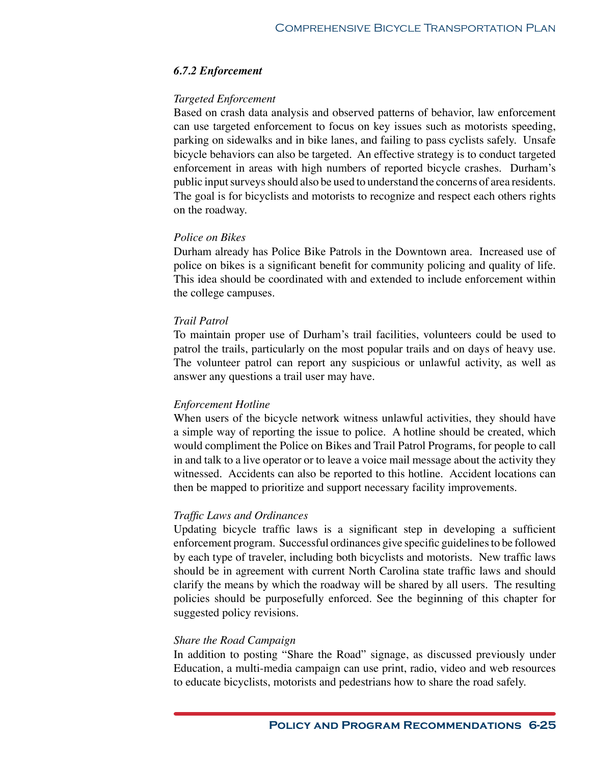## *6.7.2 Enforcement*

#### *Targeted Enforcement*

Based on crash data analysis and observed patterns of behavior, law enforcement can use targeted enforcement to focus on key issues such as motorists speeding, parking on sidewalks and in bike lanes, and failing to pass cyclists safely. Unsafe bicycle behaviors can also be targeted. An effective strategy is to conduct targeted enforcement in areas with high numbers of reported bicycle crashes. Durham's public input surveys should also be used to understand the concerns of area residents. The goal is for bicyclists and motorists to recognize and respect each others rights on the roadway.

## *Police on Bikes*

Durham already has Police Bike Patrols in the Downtown area. Increased use of police on bikes is a significant benefit for community policing and quality of life. This idea should be coordinated with and extended to include enforcement within the college campuses.

# *Trail Patrol*

To maintain proper use of Durham's trail facilities, volunteers could be used to patrol the trails, particularly on the most popular trails and on days of heavy use. The volunteer patrol can report any suspicious or unlawful activity, as well as answer any questions a trail user may have.

#### *Enforcement Hotline*

When users of the bicycle network witness unlawful activities, they should have a simple way of reporting the issue to police. A hotline should be created, which would compliment the Police on Bikes and Trail Patrol Programs, for people to call in and talk to a live operator or to leave a voice mail message about the activity they witnessed. Accidents can also be reported to this hotline. Accident locations can then be mapped to prioritize and support necessary facility improvements.

#### *Traffic Laws and Ordinances*

Updating bicycle traffic laws is a significant step in developing a sufficient enforcement program. Successful ordinances give specific guidelines to be followed by each type of traveler, including both bicyclists and motorists. New traffic laws should be in agreement with current North Carolina state traffic laws and should clarify the means by which the roadway will be shared by all users. The resulting policies should be purposefully enforced. See the beginning of this chapter for suggested policy revisions.

#### *Share the Road Campaign*

In addition to posting "Share the Road" signage, as discussed previously under Education, a multi-media campaign can use print, radio, video and web resources to educate bicyclists, motorists and pedestrians how to share the road safely.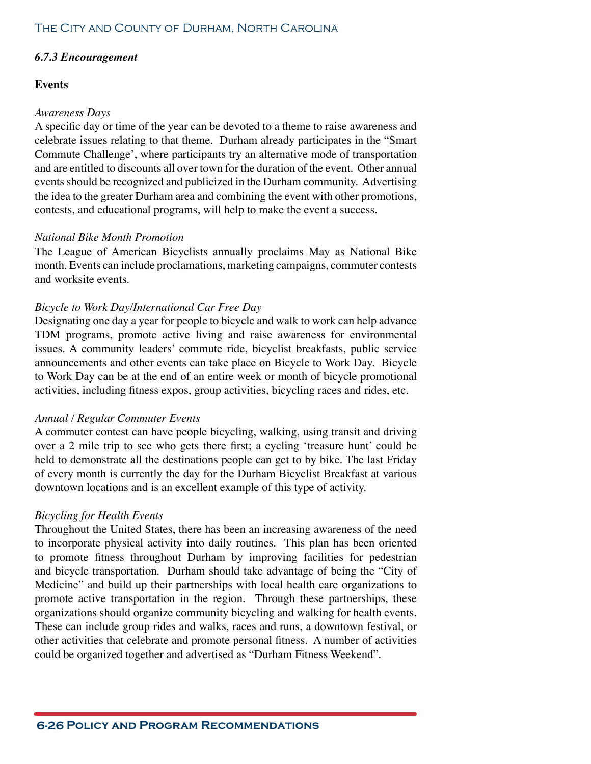# *6.7.3 Encouragement*

# **Events**

## *Awareness Days*

A specific day or time of the year can be devoted to a theme to raise awareness and celebrate issues relating to that theme. Durham already participates in the "Smart Commute Challenge', where participants try an alternative mode of transportation and are entitled to discounts all over town for the duration of the event. Other annual events should be recognized and publicized in the Durham community. Advertising the idea to the greater Durham area and combining the event with other promotions, contests, and educational programs, will help to make the event a success.

# *National Bike Month Promotion*

The League of American Bicyclists annually proclaims May as National Bike month. Events can include proclamations, marketing campaigns, commuter contests and worksite events.

# *Bicycle to Work Day/International Car Free Day*

Designating one day a year for people to bicycle and walk to work can help advance TDM programs, promote active living and raise awareness for environmental issues. A community leaders' commute ride, bicyclist breakfasts, public service announcements and other events can take place on Bicycle to Work Day. Bicycle to Work Day can be at the end of an entire week or month of bicycle promotional activities, including fitness expos, group activities, bicycling races and rides, etc.

# *Annual / Regular Commuter Events*

A commuter contest can have people bicycling, walking, using transit and driving over a 2 mile trip to see who gets there first; a cycling 'treasure hunt' could be held to demonstrate all the destinations people can get to by bike. The last Friday of every month is currently the day for the Durham Bicyclist Breakfast at various downtown locations and is an excellent example of this type of activity.

# *Bicycling for Health Events*

Throughout the United States, there has been an increasing awareness of the need to incorporate physical activity into daily routines. This plan has been oriented to promote fitness throughout Durham by improving facilities for pedestrian and bicycle transportation. Durham should take advantage of being the "City of Medicine" and build up their partnerships with local health care organizations to promote active transportation in the region. Through these partnerships, these organizations should organize community bicycling and walking for health events. These can include group rides and walks, races and runs, a downtown festival, or other activities that celebrate and promote personal fitness. A number of activities could be organized together and advertised as "Durham Fitness Weekend".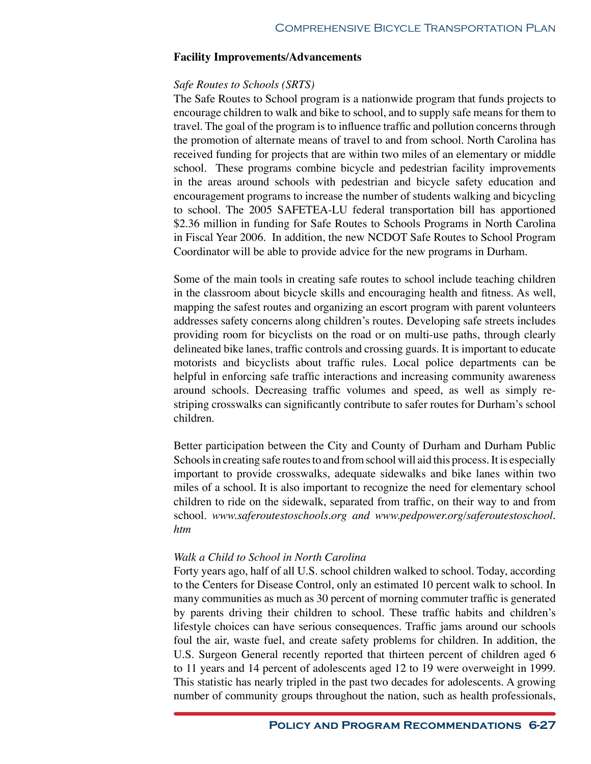#### **Facility Improvements/Advancements**

#### *Safe Routes to Schools (SRTS)*

The Safe Routes to School program is a nationwide program that funds projects to encourage children to walk and bike to school, and to supply safe means for them to travel. The goal of the program is to influence traffic and pollution concerns through the promotion of alternate means of travel to and from school. North Carolina has received funding for projects that are within two miles of an elementary or middle school. These programs combine bicycle and pedestrian facility improvements in the areas around schools with pedestrian and bicycle safety education and encouragement programs to increase the number of students walking and bicycling to school. The 2005 SAFETEA-LU federal transportation bill has apportioned \$2.36 million in funding for Safe Routes to Schools Programs in North Carolina in Fiscal Year 2006. In addition, the new NCDOT Safe Routes to School Program Coordinator will be able to provide advice for the new programs in Durham.

Some of the main tools in creating safe routes to school include teaching children in the classroom about bicycle skills and encouraging health and fitness. As well, mapping the safest routes and organizing an escort program with parent volunteers addresses safety concerns along children's routes. Developing safe streets includes providing room for bicyclists on the road or on multi-use paths, through clearly delineated bike lanes, traffic controls and crossing guards. It is important to educate motorists and bicyclists about traffic rules. Local police departments can be helpful in enforcing safe traffic interactions and increasing community awareness around schools. Decreasing traffic volumes and speed, as well as simply restriping crosswalks can significantly contribute to safer routes for Durham's school children.

Better participation between the City and County of Durham and Durham Public Schools in creating safe routes to and from school will aid this process. It is especially important to provide crosswalks, adequate sidewalks and bike lanes within two miles of a school. It is also important to recognize the need for elementary school children to ride on the sidewalk, separated from traffic, on their way to and from school. *www.saferoutestoschools.org and www.pedpower.org/saferoutestoschool. htm*

#### *Walk a Child to School in North Carolina*

Forty years ago, half of all U.S. school children walked to school. Today, according to the Centers for Disease Control, only an estimated 10 percent walk to school. In many communities as much as 30 percent of morning commuter traffic is generated by parents driving their children to school. These traffic habits and children's lifestyle choices can have serious consequences. Traffic jams around our schools foul the air, waste fuel, and create safety problems for children. In addition, the U.S. Surgeon General recently reported that thirteen percent of children aged 6 to 11 years and 14 percent of adolescents aged 12 to 19 were overweight in 1999. This statistic has nearly tripled in the past two decades for adolescents. A growing number of community groups throughout the nation, such as health professionals,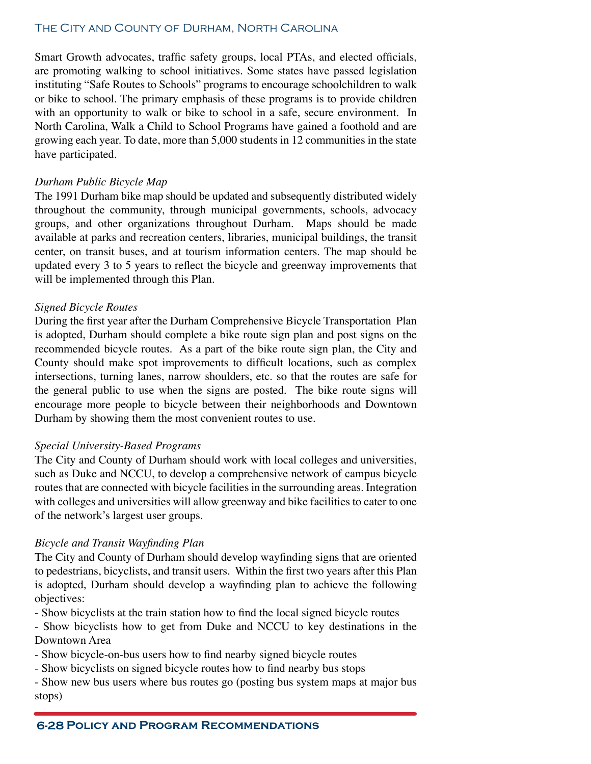Smart Growth advocates, traffic safety groups, local PTAs, and elected officials, are promoting walking to school initiatives. Some states have passed legislation instituting "Safe Routes to Schools" programs to encourage schoolchildren to walk or bike to school. The primary emphasis of these programs is to provide children with an opportunity to walk or bike to school in a safe, secure environment. In North Carolina, Walk a Child to School Programs have gained a foothold and are growing each year. To date, more than 5,000 students in 12 communities in the state have participated.

#### *Durham Public Bicycle Map*

The 1991 Durham bike map should be updated and subsequently distributed widely throughout the community, through municipal governments, schools, advocacy groups, and other organizations throughout Durham. Maps should be made available at parks and recreation centers, libraries, municipal buildings, the transit center, on transit buses, and at tourism information centers. The map should be updated every 3 to 5 years to reflect the bicycle and greenway improvements that will be implemented through this Plan.

#### *Signed Bicycle Routes*

During the first year after the Durham Comprehensive Bicycle Transportation Plan is adopted, Durham should complete a bike route sign plan and post signs on the recommended bicycle routes. As a part of the bike route sign plan, the City and County should make spot improvements to difficult locations, such as complex intersections, turning lanes, narrow shoulders, etc. so that the routes are safe for the general public to use when the signs are posted. The bike route signs will encourage more people to bicycle between their neighborhoods and Downtown Durham by showing them the most convenient routes to use.

#### *Special University-Based Programs*

The City and County of Durham should work with local colleges and universities, such as Duke and NCCU, to develop a comprehensive network of campus bicycle routes that are connected with bicycle facilities in the surrounding areas. Integration with colleges and universities will allow greenway and bike facilities to cater to one of the network's largest user groups.

#### *Bicycle and Transit Wayfinding Plan*

The City and County of Durham should develop wayfinding signs that are oriented to pedestrians, bicyclists, and transit users. Within the first two years after this Plan is adopted, Durham should develop a wayfinding plan to achieve the following objectives:

- Show bicyclists at the train station how to find the local signed bicycle routes

- Show bicyclists how to get from Duke and NCCU to key destinations in the Downtown Area

- Show bicycle-on-bus users how to find nearby signed bicycle routes

- Show bicyclists on signed bicycle routes how to find nearby bus stops

- Show new bus users where bus routes go (posting bus system maps at major bus stops)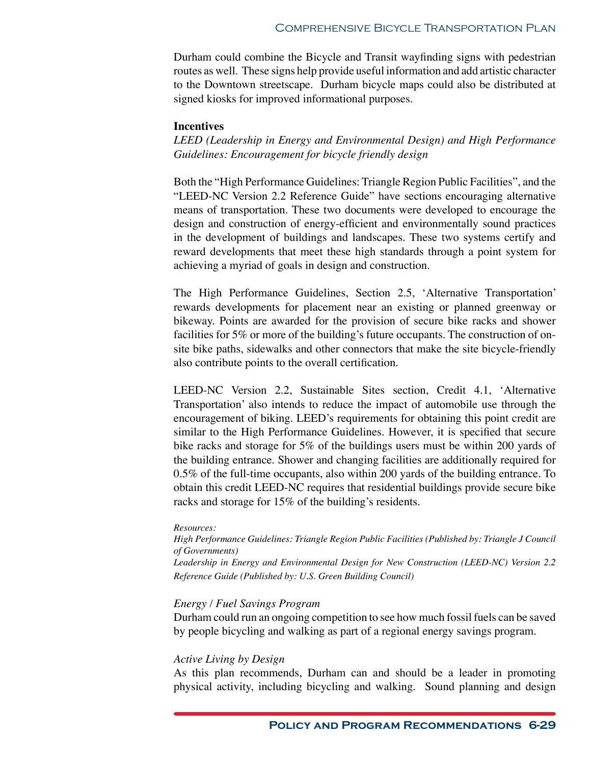Durham could combine the Bicycle and Transit wayfinding signs with pedestrian routes as well. These signs help provide useful information and add artistic character to the Downtown streetscape. Durham bicycle maps could also be distributed at signed kiosks for improved informational purposes.

#### **Incentives**

*LEED (Leadership in Energy and Environmental Design) and High Performance Guidelines: Encouragement for bicycle friendly design*

Both the "High Performance Guidelines: Triangle Region Public Facilities", and the "LEED-NC Version 2.2 Reference Guide" have sections encouraging alternative means of transportation. These two documents were developed to encourage the design and construction of energy-efficient and environmentally sound practices in the development of buildings and landscapes. These two systems certify and reward developments that meet these high standards through a point system for achieving a myriad of goals in design and construction.

The High Performance Guidelines, Section 2.5, 'Alternative Transportation' rewards developments for placement near an existing or planned greenway or bikeway. Points are awarded for the provision of secure bike racks and shower facilities for 5% or more of the building's future occupants. The construction of onsite bike paths, sidewalks and other connectors that make the site bicycle-friendly also contribute points to the overall certification.

LEED-NC Version 2.2, Sustainable Sites section, Credit 4.1, 'Alternative Transportation' also intends to reduce the impact of automobile use through the encouragement of biking. LEED's requirements for obtaining this point credit are similar to the High Performance Guidelines. However, it is specified that secure bike racks and storage for 5% of the buildings users must be within 200 yards of the building entrance. Shower and changing facilities are additionally required for 0.5% of the full-time occupants, also within 200 yards of the building entrance. To obtain this credit LEED-NC requires that residential buildings provide secure bike racks and storage for 15% of the building's residents.

#### *Resources:*

*High Performance Guidelines: Triangle Region Public Facilities (Published by: Triangle J Council of Governments) Leadership in Energy and Environmental Design for New Construction (LEED-NC) Version 2.2 Reference Guide (Published by: U.S. Green Building Council)*

#### *Energy / Fuel Savings Program*

Durham could run an ongoing competition to see how much fossil fuels can be saved by people bicycling and walking as part of a regional energy savings program.

#### *Active Living by Design*

As this plan recommends, Durham can and should be a leader in promoting physical activity, including bicycling and walking. Sound planning and design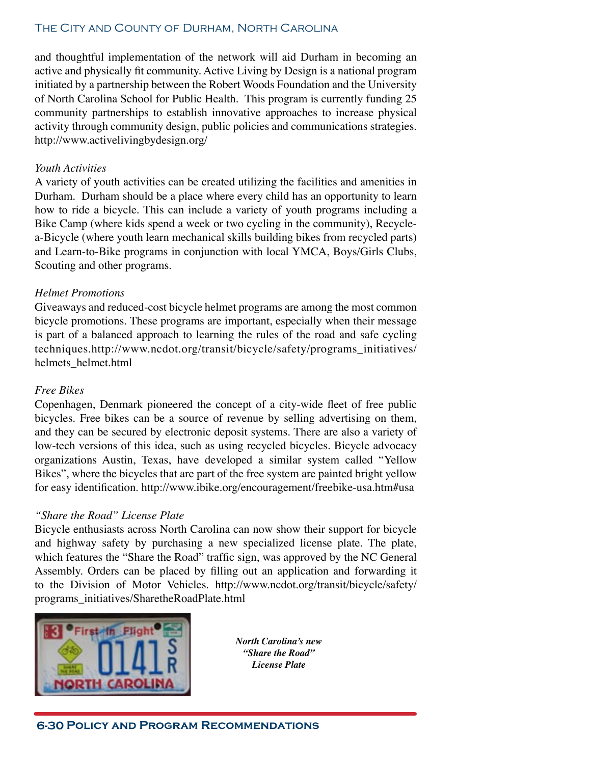and thoughtful implementation of the network will aid Durham in becoming an active and physically fit community. Active Living by Design is a national program initiated by a partnership between the Robert Woods Foundation and the University of North Carolina School for Public Health. This program is currently funding 25 community partnerships to establish innovative approaches to increase physical activity through community design, public policies and communications strategies. http://www.activelivingbydesign.org/

#### *Youth Activities*

A variety of youth activities can be created utilizing the facilities and amenities in Durham. Durham should be a place where every child has an opportunity to learn how to ride a bicycle. This can include a variety of youth programs including a Bike Camp (where kids spend a week or two cycling in the community), Recyclea-Bicycle (where youth learn mechanical skills building bikes from recycled parts) and Learn-to-Bike programs in conjunction with local YMCA, Boys/Girls Clubs, Scouting and other programs.

## *Helmet Promotions*

Giveaways and reduced-cost bicycle helmet programs are among the most common bicycle promotions. These programs are important, especially when their message is part of a balanced approach to learning the rules of the road and safe cycling techniques.http://www.ncdot.org/transit/bicycle/safety/programs\_initiatives/ helmets\_helmet.html

#### *Free Bikes*

Copenhagen, Denmark pioneered the concept of a city-wide fleet of free public bicycles. Free bikes can be a source of revenue by selling advertising on them, and they can be secured by electronic deposit systems. There are also a variety of low-tech versions of this idea, such as using recycled bicycles. Bicycle advocacy organizations Austin, Texas, have developed a similar system called "Yellow Bikes", where the bicycles that are part of the free system are painted bright yellow for easy identification. http://www.ibike.org/encouragement/freebike-usa.htm#usa

#### *"Share the Road" License Plate*

Bicycle enthusiasts across North Carolina can now show their support for bicycle and highway safety by purchasing a new specialized license plate. The plate, which features the "Share the Road" traffic sign, was approved by the NC General Assembly. Orders can be placed by filling out an application and forwarding it to the Division of Motor Vehicles. http://www.ncdot.org/transit/bicycle/safety/ programs\_initiatives/SharetheRoadPlate.html



*North Carolina's new "Share the Road" License Plate*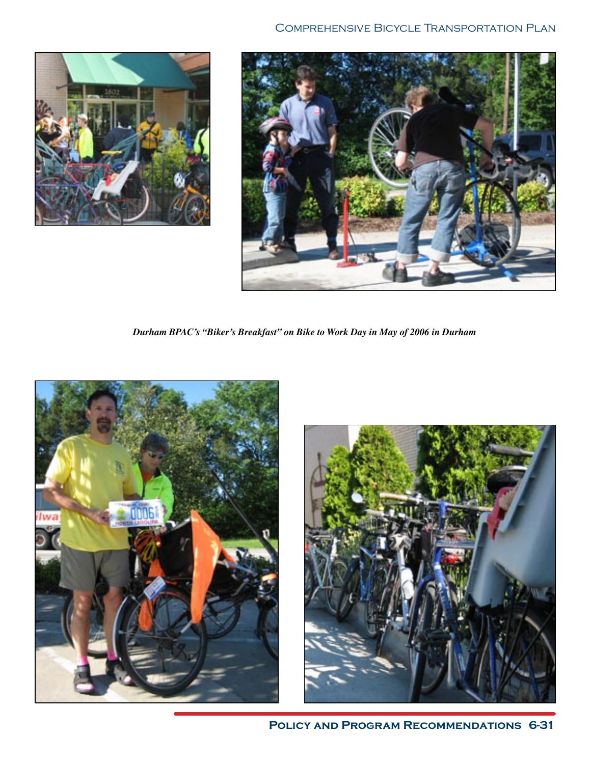



*Durham BPAC's "Biker's Breakfast" on Bike to Work Day in May of 2006 in Durham*





**Policy and Program Recommendations 6-31**